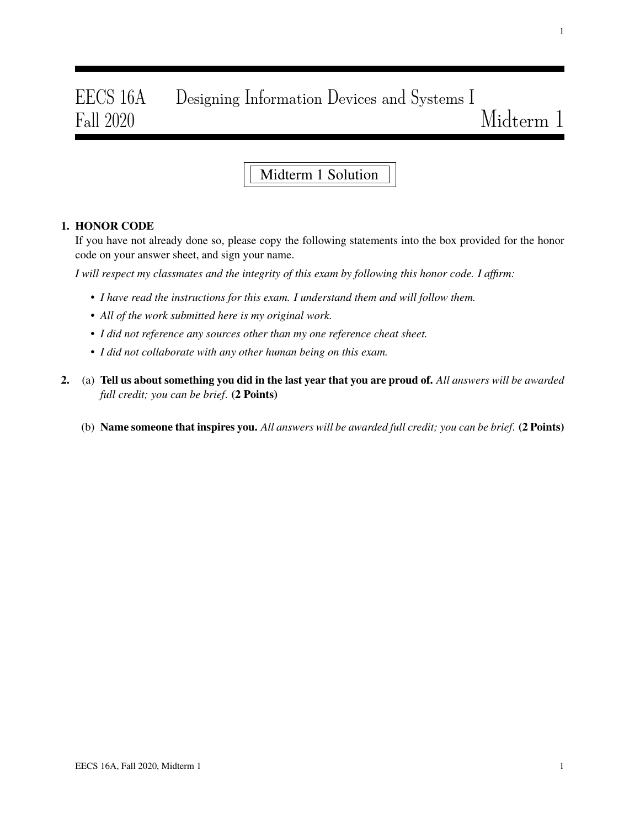# EECS 16A Designing Information Devices and Systems I Fall 2020 Midterm 1

## Midterm 1 Solution

#### 1. HONOR CODE

If you have not already done so, please copy the following statements into the box provided for the honor code on your answer sheet, and sign your name.

*I will respect my classmates and the integrity of this exam by following this honor code. I affirm:*

- *I have read the instructions for this exam. I understand them and will follow them.*
- *All of the work submitted here is my original work.*
- *I did not reference any sources other than my one reference cheat sheet.*
- *I did not collaborate with any other human being on this exam.*
- 2. (a) Tell us about something you did in the last year that you are proud of. *All answers will be awarded full credit; you can be brief*. (2 Points)
	- (b) Name someone that inspires you. *All answers will be awarded full credit; you can be brief*. (2 Points)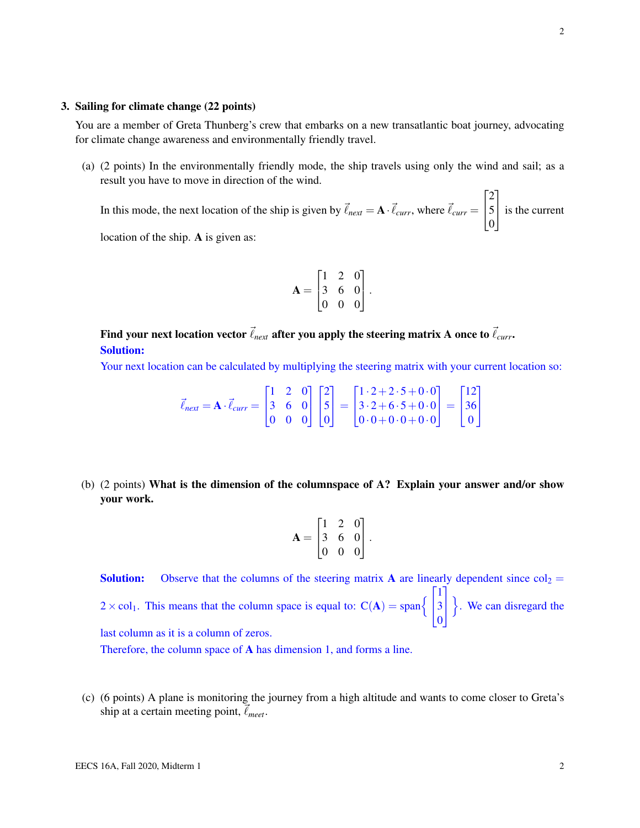#### 3. Sailing for climate change (22 points)

You are a member of Greta Thunberg's crew that embarks on a new transatlantic boat journey, advocating for climate change awareness and environmentally friendly travel.

(a) (2 points) In the environmentally friendly mode, the ship travels using only the wind and sail; as a result you have to move in direction of the wind.

In this mode, the next location of the ship is given by  $\vec{\ell}_{next} = \mathbf{A} \cdot \vec{\ell}_{curr}$ , where  $\vec{\ell}_{curr} =$  $\sqrt{ }$  $\overline{1}$ 2 5  $\boldsymbol{0}$ 1 is the current

location of the ship. A is given as:

$$
\mathbf{A} = \begin{bmatrix} 1 & 2 & 0 \\ 3 & 6 & 0 \\ 0 & 0 & 0 \end{bmatrix}.
$$

Find your next location vector  $\vec{\ell}_{next}$  after you apply the steering matrix A once to  $\vec{\ell}_{curr}$ . Solution:

Your next location can be calculated by multiplying the steering matrix with your current location so:

$$
\vec{\ell}_{next} = \mathbf{A} \cdot \vec{\ell}_{curr} = \begin{bmatrix} 1 & 2 & 0 \\ 3 & 6 & 0 \\ 0 & 0 & 0 \end{bmatrix} \begin{bmatrix} 2 \\ 5 \\ 0 \end{bmatrix} = \begin{bmatrix} 1 \cdot 2 + 2 \cdot 5 + 0 \cdot 0 \\ 3 \cdot 2 + 6 \cdot 5 + 0 \cdot 0 \\ 0 \cdot 0 + 0 \cdot 0 + 0 \cdot 0 \end{bmatrix} = \begin{bmatrix} 12 \\ 36 \\ 0 \end{bmatrix}
$$

(b) (2 points) What is the dimension of the columnspace of A? Explain your answer and/or show your work.

$$
\mathbf{A} = \begin{bmatrix} 1 & 2 & 0 \\ 3 & 6 & 0 \\ 0 & 0 & 0 \end{bmatrix}.
$$

**Solution:** Observe that the columns of the steering matrix A are linearly dependent since  $col_2$  =  $2 \times \text{col}_1$ . This means that the column space is equal to:  $C(A) = \text{span}\left\{$  $\sqrt{ }$  $\mathbf{I}$ 1 3 0 1  $\mathbf{I}$ o . We can disregard the last column as it is a column of zeros.

Therefore, the column space of A has dimension 1, and forms a line.

(c) (6 points) A plane is monitoring the journey from a high altitude and wants to come closer to Greta's ship at a certain meeting point,  $\vec{\ell}_{meet}$ .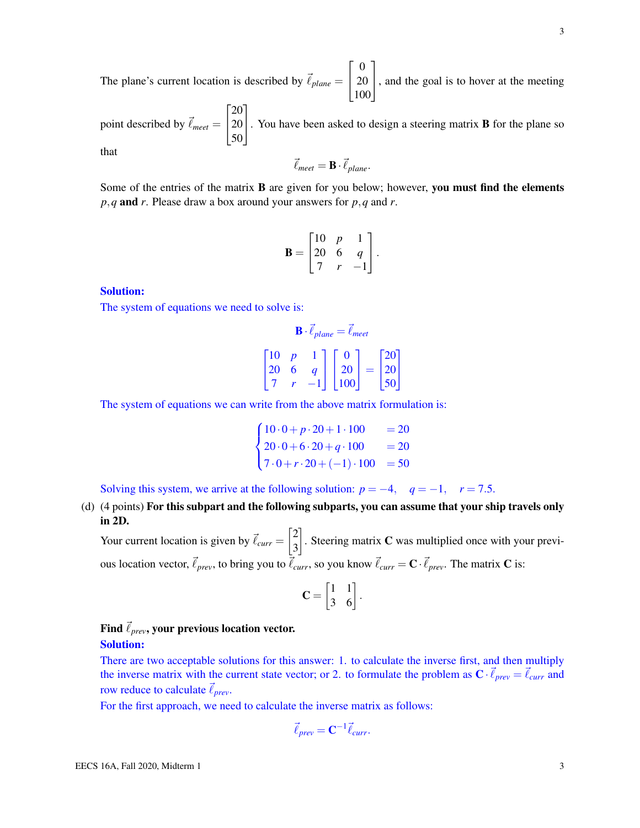3

The plane's current location is described by  $\vec{\ell}_{plane}$  =  $\sqrt{ }$  $\overline{1}$ 0 20 100 1 , and the goal is to hover at the meeting

point described by  $\vec{\ell}_{meet} =$  $\sqrt{ }$  $\overline{1}$ 20 20 50 1 . You have been asked to design a steering matrix <sup>B</sup> for the plane so that

$$
\vec{\ell}_{meet} = \mathbf{B} \cdot \vec{\ell}_{plane}.
$$

Some of the entries of the matrix **B** are given for you below; however, you must find the elements *p*,*q* and *r*. Please draw a box around your answers for *p*,*q* and *r*.

$$
\mathbf{B} = \begin{bmatrix} 10 & p & 1 \\ 20 & 6 & q \\ 7 & r & -1 \end{bmatrix}.
$$

#### Solution:

The system of equations we need to solve is:

$$
\mathbf{B} \cdot \vec{\ell}_{plane} = \vec{\ell}_{meet}
$$
  

$$
\begin{bmatrix} 10 & p & 1 \\ 20 & 6 & q \end{bmatrix} \begin{bmatrix} 0 \\ 20 \\ 20 \end{bmatrix} = \begin{bmatrix} 20 \\ 20 \end{bmatrix}
$$

$$
\begin{bmatrix} 10 & F & 1 \\ 20 & 6 & q \\ 7 & r & -1 \end{bmatrix} \begin{bmatrix} 20 \\ 20 \\ 100 \end{bmatrix} = \begin{bmatrix} 20 \\ 20 \\ 50 \end{bmatrix}
$$

The system of equations we can write from the above matrix formulation is:

$$
\begin{cases}\n10 \cdot 0 + p \cdot 20 + 1 \cdot 100 &= 20 \\
20 \cdot 0 + 6 \cdot 20 + q \cdot 100 &= 20 \\
7 \cdot 0 + r \cdot 20 + (-1) \cdot 100 &= 50\n\end{cases}
$$

Solving this system, we arrive at the following solution:  $p = -4$ ,  $q = -1$ ,  $r = 7.5$ .

(d) (4 points) For this subpart and the following subparts, you can assume that your ship travels only in 2D.

Your current location is given by  $\vec{\ell}_{curr} = \begin{bmatrix} 2 \\ 2 \end{bmatrix}$ 3 . Steering matrix  $C$  was multiplied once with your previous location vector,  $\vec{\ell}_{prev}$ , to bring you to  $\vec{\ell}_{curr}$ , so you know  $\vec{\ell}_{curr} = \mathbf{C} \cdot \vec{\ell}_{prev}$ . The matrix  $\mathbf{C}$  is:

$$
\mathbf{C} = \begin{bmatrix} 1 & 1 \\ 3 & 6 \end{bmatrix}.
$$

## Find  $\vec{\ell}_{prev}$ , your previous location vector. Solution:

There are two acceptable solutions for this answer: 1. to calculate the inverse first, and then multiply the inverse matrix with the current state vector; or 2. to formulate the problem as  $\mathbf{C} \cdot \vec{\ell}_{prev} = \vec{\ell}_{curr}$  and row reduce to calculate  $\vec{\ell}_{prev}$ .

For the first approach, we need to calculate the inverse matrix as follows:

$$
\vec{\ell}_{prev} = \mathbf{C}^{-1} \vec{\ell}_{curr}.
$$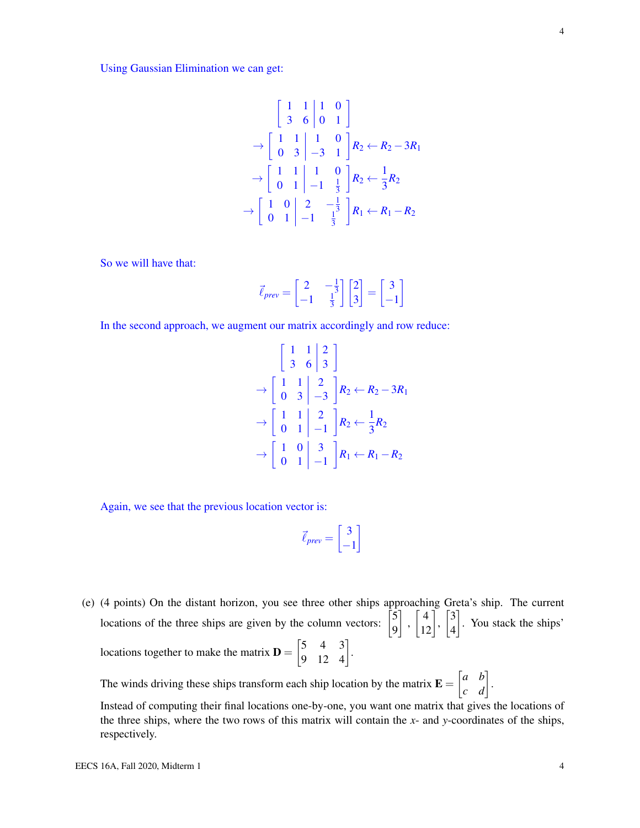Using Gaussian Elimination we can get:

$$
\begin{bmatrix} 1 & 1 & 1 & 0 \ 3 & 6 & 0 & 1 \end{bmatrix}
$$
  
\n
$$
\rightarrow \begin{bmatrix} 1 & 1 & 1 & 0 \ 0 & 3 & -3 & 1 \end{bmatrix} R_2 \leftarrow R_2 - 3R_1
$$
  
\n
$$
\rightarrow \begin{bmatrix} 1 & 1 & 1 & 0 \ 0 & 1 & -1 & \frac{1}{3} \end{bmatrix} R_2 \leftarrow \frac{1}{3} R_2
$$
  
\n
$$
\rightarrow \begin{bmatrix} 1 & 0 & 2 & -\frac{1}{3} \\ 0 & 1 & -1 & \frac{1}{3} \end{bmatrix} R_1 \leftarrow R_1 - R_2
$$

So we will have that:

$$
\vec{\ell}_{prev} = \begin{bmatrix} 2 & -\frac{1}{3} \\ -1 & \frac{1}{3} \end{bmatrix} \begin{bmatrix} 2 \\ 3 \end{bmatrix} = \begin{bmatrix} 3 \\ -1 \end{bmatrix}
$$

In the second approach, we augment our matrix accordingly and row reduce:

$$
\begin{bmatrix} 1 & 1 & 2 \ 3 & 6 & 3 \end{bmatrix}
$$
  
\n
$$
\rightarrow \begin{bmatrix} 1 & 1 & 2 \ 0 & 3 & -3 \end{bmatrix} R_2 \leftarrow R_2 - 3R_1
$$
  
\n
$$
\rightarrow \begin{bmatrix} 1 & 1 & 2 \ 0 & 1 & -1 \end{bmatrix} R_2 \leftarrow \frac{1}{3} R_2
$$
  
\n
$$
\rightarrow \begin{bmatrix} 1 & 0 & 3 \ 0 & 1 & -1 \end{bmatrix} R_1 \leftarrow R_1 - R_2
$$

Again, we see that the previous location vector is:

$$
\vec{\ell}_{prev} = \begin{bmatrix} 3 \\ -1 \end{bmatrix}
$$

(e) (4 points) On the distant horizon, you see three other ships approaching Greta's ship. The current locations of the three ships are given by the column vectors:  $\begin{bmatrix} 5 \\ 0 \end{bmatrix}$ 9  $\Bigg], \Bigg[ \frac{4}{12} \Bigg], \Bigg[ \frac{3}{4} \Bigg]$ 4 . You stack the ships' locations together to make the matrix  $\mathbf{D} = \begin{bmatrix} 5 & 4 & 3 \\ 9 & 12 & 4 \end{bmatrix}$ .

The winds driving these ships transform each ship location by the matrix  $\mathbf{E} = \begin{bmatrix} a & b \\ c & d \end{bmatrix}$ .

Instead of computing their final locations one-by-one, you want one matrix that gives the locations of the three ships, where the two rows of this matrix will contain the *x*- and *y*-coordinates of the ships, respectively.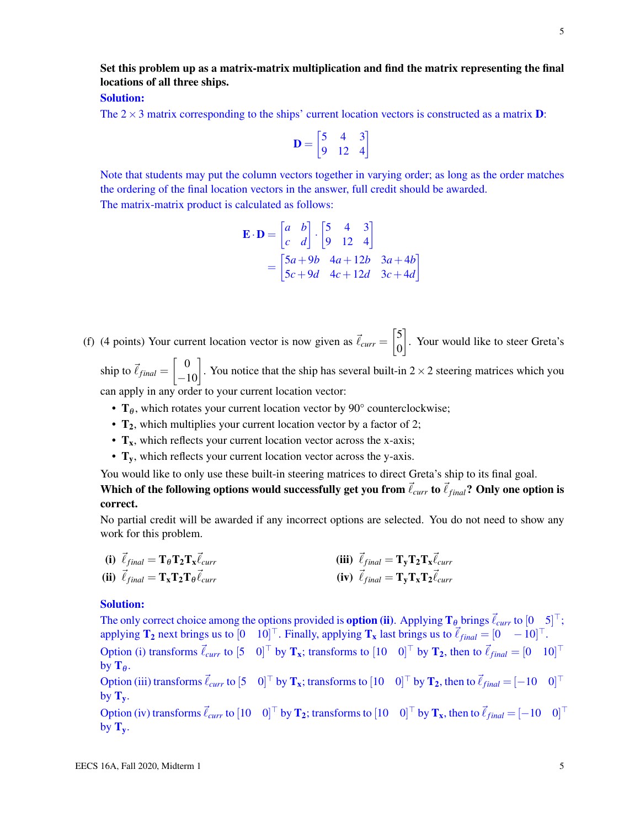## Set this problem up as a matrix-matrix multiplication and find the matrix representing the final locations of all three ships.

## Solution:

The  $2 \times 3$  matrix corresponding to the ships' current location vectors is constructed as a matrix **D**:

$$
\mathbf{D} = \begin{bmatrix} 5 & 4 & 3 \\ 9 & 12 & 4 \end{bmatrix}
$$

Note that students may put the column vectors together in varying order; as long as the order matches the ordering of the final location vectors in the answer, full credit should be awarded. The matrix-matrix product is calculated as follows:

$$
\mathbf{E} \cdot \mathbf{D} = \begin{bmatrix} a & b \\ c & d \end{bmatrix} \cdot \begin{bmatrix} 5 & 4 & 3 \\ 9 & 12 & 4 \end{bmatrix}
$$
  
= 
$$
\begin{bmatrix} 5a + 9b & 4a + 12b & 3a + 4b \\ 5c + 9d & 4c + 12d & 3c + 4d \end{bmatrix}
$$

(f) (4 points) Your current location vector is now given as  $\vec{\ell}_{curr} = \begin{bmatrix} 5 \\ 0 \end{bmatrix}$ 0 . Your would like to steer Greta's

ship to  $\vec{\ell}_{final} = \begin{bmatrix} 0 \\ -10 \end{bmatrix}$ . You notice that the ship has several built-in 2 × 2 steering matrices which you can apply in any order to your current location vector:

- $T_\theta$ , which rotates your current location vector by 90° counterclockwise;
- $T_2$ , which multiplies your current location vector by a factor of 2;
- $T_x$ , which reflects your current location vector across the x-axis;
- $T_v$ , which reflects your current location vector across the y-axis.

You would like to only use these built-in steering matrices to direct Greta's ship to its final goal.

Which of the following options would successfully get you from  $\vec{\ell}_{curr}$  to  $\vec{\ell}_{final}$ ? Only one option is correct.

No partial credit will be awarded if any incorrect options are selected. You do not need to show any work for this problem.

(i) 
$$
\vec{\ell}_{final} = \mathbf{T}_{\theta} \mathbf{T}_{2} \mathbf{T}_{x} \vec{\ell}_{curr}
$$
  
\n(ii)  $\vec{\ell}_{final} = \mathbf{T}_{y} \mathbf{T}_{2} \mathbf{T}_{x} \vec{\ell}_{curr}$   
\n(iii)  $\vec{\ell}_{final} = \mathbf{T}_{y} \mathbf{T}_{z} \mathbf{T}_{z} \vec{\ell}_{curr}$   
\n(iv)  $\vec{\ell}_{final} = \mathbf{T}_{y} \mathbf{T}_{x} \mathbf{T}_{2} \vec{\ell}_{curr}$ 

#### Solution:

The only correct choice among the options provided is **option (ii)**. Applying  $T_\theta$  brings  $\vec{\ell}_{curr}$  to  $[0 \quad 5]^\top$ ; applying  $\mathbf{T_2}$  next brings us to  $[0 \quad 10]^\top$ . Finally, applying  $\mathbf{T_x}$  last brings us to  $\vec{\ell}_{final} = [0 \quad -10]^\top$ . Option (i) transforms  $\vec{\ell}_{curr}$  to  $[5 \ 0]^{\top}$  by  $\mathbf{T_x}$ ; transforms to  $[10 \ 0]^{\top}$  by  $\mathbf{T_2}$ , then to  $\vec{\ell}_{final} = [0 \ 10]^{\top}$ by  $\mathbf{T}_{\theta}$ . Option (iii) transforms  $\vec{\ell}_{curr}$  to  $[5 \quad 0]^\top$  by  $\mathbf{T_x}$ ; transforms to  $[10 \quad 0]^\top$  by  $\mathbf{T_2}$ , then to  $\vec{\ell}_{final} = [-10 \quad 0]$  $0^{\dagger}$ by  $T_v$ . Option (iv) transforms  $\vec{\ell}_{curr}$  to  $[10 \quad 0]^\top$  by  $\mathbf{T_2}$ ; transforms to  $[10 \quad 0]^\top$  by  $\mathbf{T_x}$ , then to  $\vec{\ell}_{final} = [-10 \quad 0]^\top$ by  $T_v$ .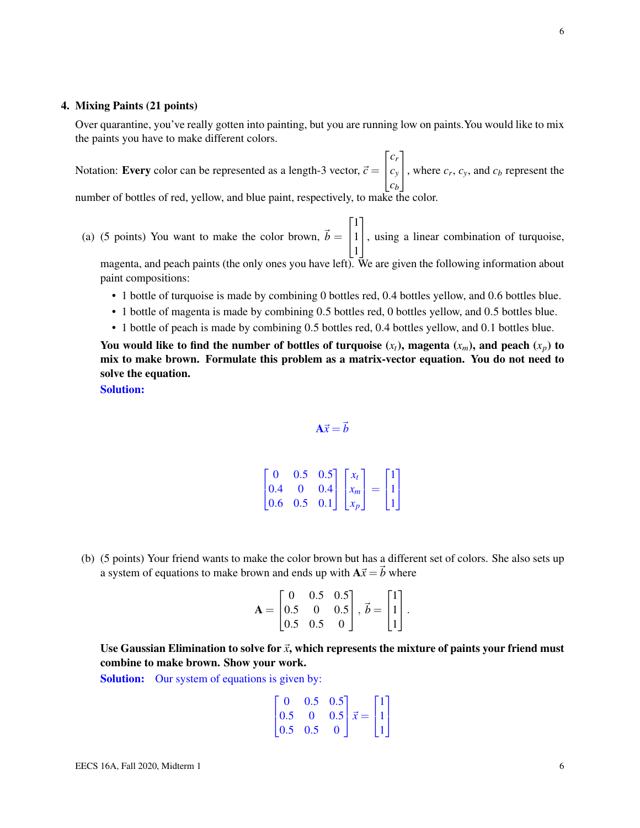#### 4. Mixing Paints (21 points)

Over quarantine, you've really gotten into painting, but you are running low on paints.You would like to mix the paints you have to make different colors.

Notation: **Every** color can be represented as a length-3 vector,  $\vec{c}$  =  $\sqrt{ }$  $\overline{1}$ *cr cy cb* 1 , where  $c_r$ ,  $c_y$ , and  $c_b$  represent the number of bottles of red, yellow, and blue paint, respectively, to make the color.

(a) (5 points) You want to make the color brown,  $\vec{b} =$  $\sqrt{ }$  $\overline{1}$ 1 1 1 1 , using a linear combination of turquoise, magenta, and peach paints (the only ones you have left). We are given the following information about

paint compositions:

- 1 bottle of turquoise is made by combining 0 bottles red, 0.4 bottles yellow, and 0.6 bottles blue.
- 1 bottle of magenta is made by combining 0.5 bottles red, 0 bottles yellow, and 0.5 bottles blue.
- 1 bottle of peach is made by combining 0.5 bottles red, 0.4 bottles yellow, and 0.1 bottles blue.

You would like to find the number of bottles of turquoise  $(x_t)$ , magenta  $(x_m)$ , and peach  $(x_p)$  to mix to make brown. Formulate this problem as a matrix-vector equation. You do not need to solve the equation.

Solution:

 $A\vec{x} = \vec{b}$ 

 $\lceil$  $\overline{1}$ 0 0.5 0.5 0.4 0 0.4 0.6 0.5 0.1 1  $\mathbf{I}$  $\sqrt{ }$  $\mathbf{r}$ *xt xm xp* 1  $\Big| =$  $\sqrt{ }$  $\mathbf{I}$ 1 1 1 1  $\mathbf{I}$ 

(b) (5 points) Your friend wants to make the color brown but has a different set of colors. She also sets up a system of equations to make brown and ends up with  $A\vec{x} = \vec{b}$  where

$$
\mathbf{A} = \begin{bmatrix} 0 & 0.5 & 0.5 \\ 0.5 & 0 & 0.5 \\ 0.5 & 0.5 & 0 \end{bmatrix}, \vec{b} = \begin{bmatrix} 1 \\ 1 \\ 1 \end{bmatrix}.
$$

Use Gaussian Elimination to solve for  $\vec{x}$ , which represents the mixture of paints your friend must combine to make brown. Show your work.

Solution: Our system of equations is given by:

$$
\begin{bmatrix} 0 & 0.5 & 0.5 \\ 0.5 & 0 & 0.5 \\ 0.5 & 0.5 & 0 \end{bmatrix} \vec{x} = \begin{bmatrix} 1 \\ 1 \\ 1 \end{bmatrix}
$$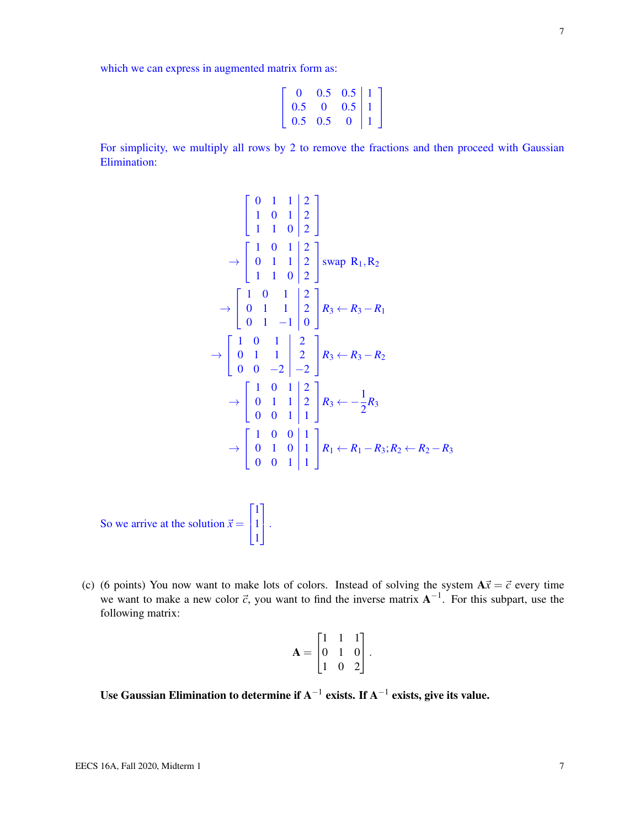which we can express in augmented matrix form as:

For simplicity, we multiply all rows by 2 to remove the fractions and then proceed with Gaussian Elimination:

 $0 \t 0.5 \t 0.5 \t 1$  $0.5 \quad 0 \quad 0.5 \mid 1$  $0.5 \quad 0.5 \quad 0 \mid 1$  1  $\mathbf{I}$ 

 $\sqrt{ }$  $\overline{\phantom{a}}$ 

$$
\begin{bmatrix} 0 & 1 & 1 & 2 \ 1 & 0 & 1 & 2 \ 1 & 1 & 0 & 2 \end{bmatrix}
$$
  
\n
$$
\rightarrow \begin{bmatrix} 1 & 0 & 1 & 2 \ 0 & 1 & 1 & 2 \ 1 & 1 & 0 & 2 \end{bmatrix}
$$
swap R<sub>1</sub>, R<sub>2</sub>  
\n
$$
\rightarrow \begin{bmatrix} 1 & 0 & 1 & 2 \ 0 & 1 & 1 & 2 \ 0 & 1 & -1 & 0 \end{bmatrix} R_3 \leftarrow R_3 - R_1
$$
  
\n
$$
\rightarrow \begin{bmatrix} 1 & 0 & 1 & 2 \ 0 & 1 & 1 & 2 \ 0 & 0 & -2 & -2 \end{bmatrix} R_3 \leftarrow R_3 - R_2
$$
  
\n
$$
\rightarrow \begin{bmatrix} 1 & 0 & 1 & 2 \ 0 & 1 & 1 & 2 \ 0 & 0 & 1 & 1 \end{bmatrix} R_3 \leftarrow -\frac{1}{2} R_3
$$
  
\n
$$
\rightarrow \begin{bmatrix} 1 & 0 & 0 & 1 \ 0 & 1 & 0 & 1 \ 0 & 0 & 1 & 1 \end{bmatrix} R_1 \leftarrow R_1 - R_3; R_2 \leftarrow R_2 - R_3
$$

So we arrive at the solution  $\vec{x} =$  $\sqrt{ }$  $\mathbf{I}$ 1 1 1 1  $\vert \cdot$ 

(c) (6 points) You now want to make lots of colors. Instead of solving the system  $A\vec{x} = \vec{c}$  every time we want to make a new color  $\vec{c}$ , you want to find the inverse matrix  $A^{-1}$ . For this subpart, use the following matrix:

$$
\mathbf{A} = \begin{bmatrix} 1 & 1 & 1 \\ 0 & 1 & 0 \\ 1 & 0 & 2 \end{bmatrix}.
$$

Use Gaussian Elimination to determine if  $A^{-1}$  exists. If  $A^{-1}$  exists, give its value.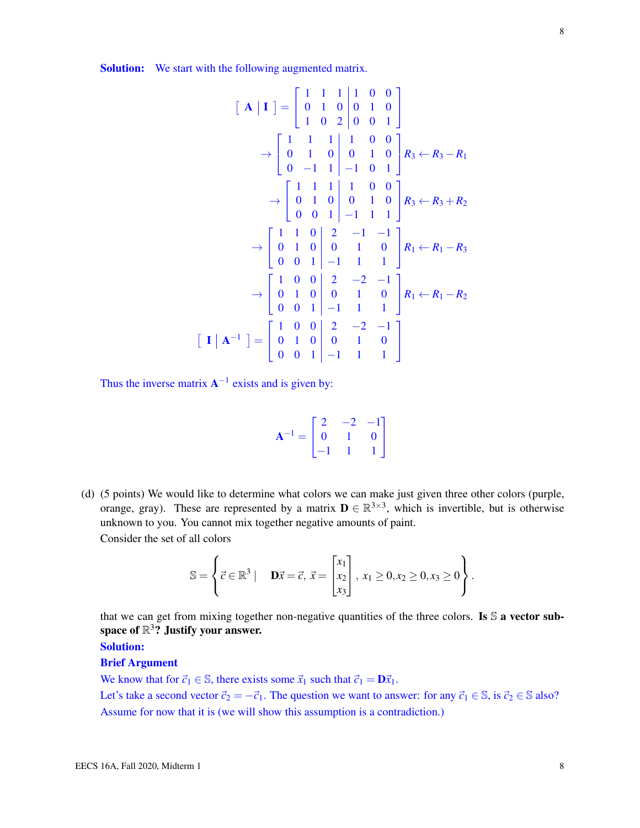Solution: We start with the following augmented matrix.

$$
\begin{bmatrix}\n\mathbf{A} \mid \mathbf{I}\n\end{bmatrix} =\n\begin{bmatrix}\n1 & 1 & 1 & 1 & 0 & 0 \\
0 & 1 & 0 & 0 & 1 & 0 \\
1 & 0 & 2 & 0 & 0 & 1\n\end{bmatrix}\n\rightarrow\n\begin{bmatrix}\n1 & 1 & 1 & 1 & 0 & 0 \\
0 & 1 & 0 & 0 & 1 & 0 \\
0 & -1 & 1 & -1 & 0 & 1\n\end{bmatrix}\n\begin{bmatrix}\nR_3 \leftarrow R_3 - R_1 \\
R_3 \leftarrow R_3 - R_1\n\end{bmatrix}\n\rightarrow\n\begin{bmatrix}\n1 & 1 & 1 & 1 & 0 & 0 \\
0 & 1 & 0 & 0 & 1 & 0 \\
0 & 0 & 1 & -1 & 1 & 1\n\end{bmatrix}\n\begin{bmatrix}\nR_3 \leftarrow R_3 + R_2\n\end{bmatrix}\n\rightarrow\n\begin{bmatrix}\n1 & 1 & 0 & 0 & 2 & -1 & -1 \\
0 & 1 & 0 & 0 & 1 & 0 \\
0 & 0 & 1 & -1 & 1 & 1\n\end{bmatrix}\n\begin{bmatrix}\nR_1 \leftarrow R_1 - R_3\n\end{bmatrix}\n\rightarrow\n\begin{bmatrix}\n1 & 0 & 0 & 2 & -2 & -1 \\
0 & 1 & 0 & 0 & 1 & 0 \\
0 & 0 & 1 & -1 & 1 & 1\n\end{bmatrix}\n\begin{bmatrix}\nR_1 \leftarrow R_1 - R_2\n\end{bmatrix}
$$
\n
$$
\begin{bmatrix}\n\mathbf{I} \mid \mathbf{A}^{-1}\n\end{bmatrix} =\n\begin{bmatrix}\n1 & 0 & 0 & 2 & -2 & -1 \\
0 & 1 & 0 & 0 & 1 & 0 \\
0 & 0 & 1 & -1 & 1 & 1\n\end{bmatrix}
$$

Thus the inverse matrix  $A^{-1}$  exists and is given by:

| $\mathbf{A}^{-1} = \begin{bmatrix} 2 & -2 & -1 \\ 0 & 1 & 0 \\ -1 & 1 & 1 \end{bmatrix}$ |  |  |
|------------------------------------------------------------------------------------------|--|--|

(d) (5 points) We would like to determine what colors we can make just given three other colors (purple, orange, gray). These are represented by a matrix  $\mathbf{D} \in \mathbb{R}^{3 \times 3}$ , which is invertible, but is otherwise unknown to you. You cannot mix together negative amounts of paint. Consider the set of all colors

$$
\mathbb{S} = \left\{ \vec{c} \in \mathbb{R}^3 \mid \mathbf{D}\vec{x} = \vec{c}, \ \vec{x} = \begin{bmatrix} x_1 \\ x_2 \\ x_3 \end{bmatrix}, \ x_1 \ge 0, x_2 \ge 0, x_3 \ge 0 \right\}.
$$

that we can get from mixing together non-negative quantities of the three colors. Is S a vector subspace of  $\mathbb{R}^3?$  Justify your answer.

Solution:

#### Brief Argument

We know that for  $\vec{c}_1 \in \mathbb{S}$ , there exists some  $\vec{x}_1$  such that  $\vec{c}_1 = \mathbf{D}\vec{x}_1$ .

Let's take a second vector  $\vec{c}_2 = -\vec{c}_1$ . The question we want to answer: for any  $\vec{c}_1 \in \mathbb{S}$ , is  $\vec{c}_2 \in \mathbb{S}$  also? Assume for now that it is (we will show this assumption is a contradiction.)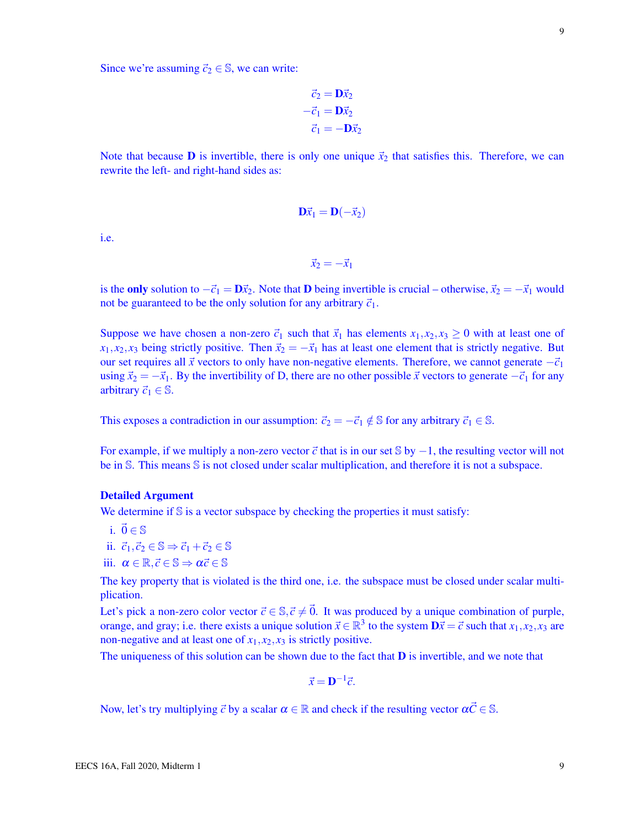Since we're assuming  $\vec{c}_2 \in \mathbb{S}$ , we can write:

$$
\vec{c}_2 = \mathbf{D}\vec{x}_2 \n-\vec{c}_1 = \mathbf{D}\vec{x}_2 \n\vec{c}_1 = -\mathbf{D}\vec{x}_2
$$

Note that because **D** is invertible, there is only one unique  $\vec{x}_2$  that satisfies this. Therefore, we can rewrite the left- and right-hand sides as:

$$
\mathbf{D}\vec{x}_1 = \mathbf{D}(-\vec{x}_2)
$$

i.e.

$$
\vec{x}_2 = -\vec{x}_1
$$

is the only solution to  $-\vec{c}_1 = \mathbf{D}\vec{x}_2$ . Note that **D** being invertible is crucial – otherwise,  $\vec{x}_2 = -\vec{x}_1$  would not be guaranteed to be the only solution for any arbitrary  $\vec{c}_1$ .

Suppose we have chosen a non-zero  $\vec{c}_1$  such that  $\vec{x}_1$  has elements  $x_1, x_2, x_3 \ge 0$  with at least one of  $x_1, x_2, x_3$  being strictly positive. Then  $\vec{x}_2 = -\vec{x}_1$  has at least one element that is strictly negative. But our set requires all  $\vec{x}$  vectors to only have non-negative elements. Therefore, we cannot generate  $-\vec{c}_1$ using  $\vec{x}_2 = -\vec{x}_1$ . By the invertibility of D, there are no other possible  $\vec{x}$  vectors to generate  $-\vec{c}_1$  for any arbitrary  $\vec{c}_1 \in \mathbb{S}$ .

This exposes a contradiction in our assumption:  $\vec{c}_2 = -\vec{c}_1 \notin \mathbb{S}$  for any arbitrary  $\vec{c}_1 \in \mathbb{S}$ .

For example, if we multiply a non-zero vector  $\vec{c}$  that is in our set S by  $-1$ , the resulting vector will not be in S. This means S is not closed under scalar multiplication, and therefore it is not a subspace.

#### Detailed Argument

We determine if  $S$  is a vector subspace by checking the properties it must satisfy:

- i.  $\vec{0} \in \mathbb{S}$
- ii.  $\vec{c}_1, \vec{c}_2 \in \mathbb{S} \Rightarrow \vec{c}_1 + \vec{c}_2 \in \mathbb{S}$
- iii.  $\alpha \in \mathbb{R}, \vec{c} \in \mathbb{S} \Rightarrow \alpha \vec{c} \in \mathbb{S}$

The key property that is violated is the third one, i.e. the subspace must be closed under scalar multiplication.

Let's pick a non-zero color vector  $\vec{c} \in \mathbb{S}, \vec{c} \neq \vec{0}$ . It was produced by a unique combination of purple, orange, and gray; i.e. there exists a unique solution  $\vec{x} \in \mathbb{R}^3$  to the system  $\mathbf{D}\vec{x} = \vec{c}$  such that  $x_1, x_2, x_3$  are non-negative and at least one of  $x_1, x_2, x_3$  is strictly positive.

The uniqueness of this solution can be shown due to the fact that  **is invertible, and we note that** 

$$
\vec{x} = \mathbf{D}^{-1}\vec{c}.
$$

Now, let's try multiplying  $\vec{c}$  by a scalar  $\alpha \in \mathbb{R}$  and check if the resulting vector  $\alpha \vec{c} \in \mathbb{S}$ .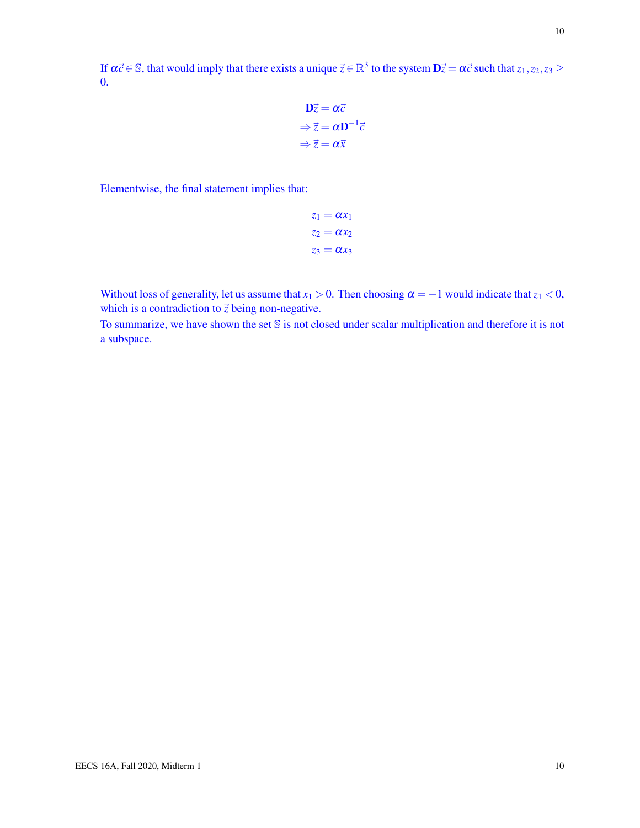$$
\mathbf{D}\vec{z} = \alpha \vec{c}
$$
  
\n
$$
\Rightarrow \vec{z} = \alpha \mathbf{D}^{-1} \vec{c}
$$
  
\n
$$
\Rightarrow \vec{z} = \alpha \vec{x}
$$

Elementwise, the final statement implies that:

0.

$$
z_1 = \alpha x_1
$$

$$
z_2 = \alpha x_2
$$

$$
z_3 = \alpha x_3
$$

Without loss of generality, let us assume that  $x_1 > 0$ . Then choosing  $\alpha = -1$  would indicate that  $z_1 < 0$ , which is a contradiction to  $\vec{z}$  being non-negative.

To summarize, we have shown the set S is not closed under scalar multiplication and therefore it is not a subspace.

10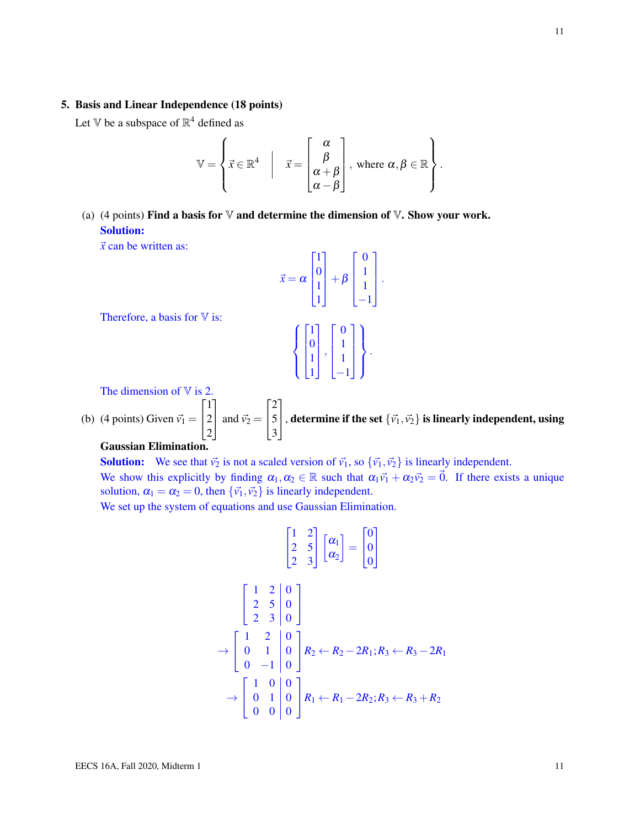#### 5. Basis and Linear Independence (18 points)

Let V be a subspace of  $\mathbb{R}^4$  defined as

$$
\mathbb{V} = \left\{ \vec{x} \in \mathbb{R}^4 \middle| \quad \vec{x} = \begin{bmatrix} \alpha \\ \beta \\ \alpha + \beta \\ \alpha - \beta \end{bmatrix}, \text{ where } \alpha, \beta \in \mathbb{R} \right\}.
$$

(a) (4 points) Find a basis for  $\nabla$  and determine the dimension of  $\nabla$ . Show your work. Solution:

 $\vec{x}$  can be written as:

$$
\vec{x} = \alpha \begin{bmatrix} 1 \\ 0 \\ 1 \\ 1 \end{bmatrix} + \beta \begin{bmatrix} 0 \\ 1 \\ 1 \\ -1 \end{bmatrix}.
$$

$$
\left\{ \begin{bmatrix} 1 \\ 0 \\ 1 \\ 1 \end{bmatrix}, \begin{bmatrix} 0 \\ 1 \\ 1 \\ -1 \end{bmatrix} \right\}.
$$

The dimension of  $V$  is 2.

Therefore, a basis for  $\nabla$  is:

(b) (4 points) Given  $\vec{v_1}$  =  $\sqrt{ }$  $\overline{1}$ 1 2 2 1 and  $\vec{v}_2$  =  $\sqrt{ }$  $\overline{1}$ 2 5 3 1 , determine if the set  $\{\vec{v_1}, \vec{v_2}\}$  is linearly independent, using

## Gaussian Elimination.

**Solution:** We see that  $\vec{v}_2$  is not a scaled version of  $\vec{v}_1$ , so  ${\{\vec{v}_1, \vec{v}_2\}}$  is linearly independent. We show this explicitly by finding  $\alpha_1, \alpha_2 \in \mathbb{R}$  such that  $\alpha_1 \vec{v}_1 + \alpha_2 \vec{v}_2 = \vec{0}$ . If there exists a unique solution,  $\alpha_1 = \alpha_2 = 0$ , then  $\{\vec{v_1}, \vec{v_2}\}$  is linearly independent.

We set up the system of equations and use Gaussian Elimination.

$$
\begin{bmatrix} 1 & 2 \\ 2 & 5 \\ 2 & 3 \end{bmatrix} \begin{bmatrix} \alpha_1 \\ \alpha_2 \end{bmatrix} = \begin{bmatrix} 0 \\ 0 \\ 0 \end{bmatrix}
$$

$$
\begin{bmatrix} 1 & 2 & 0 \ 2 & 5 & 0 \ 2 & 3 & 0 \end{bmatrix}
$$
  
\n
$$
\rightarrow \begin{bmatrix} 1 & 2 & 0 \ 0 & 1 & 0 \ 0 & -1 & 0 \end{bmatrix} R_2 \leftarrow R_2 - 2R_1; R_3 \leftarrow R_3 - 2R_1
$$
  
\n
$$
\rightarrow \begin{bmatrix} 1 & 0 & 0 \ 0 & 1 & 0 \ 0 & 0 & 0 \end{bmatrix} R_1 \leftarrow R_1 - 2R_2; R_3 \leftarrow R_3 + R_2
$$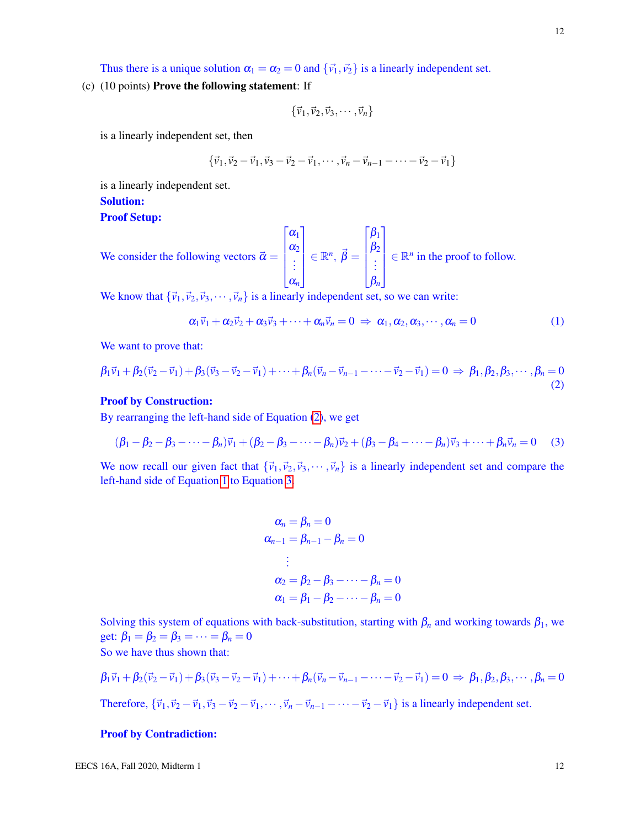(c) (10 points) Prove the following statement: If

$$
\{\vec{v}_1,\vec{v}_2,\vec{v}_3,\cdots,\vec{v}_n\}
$$

is a linearly independent set, then

$$
\{\vec{v}_1, \vec{v}_2 - \vec{v}_1, \vec{v}_3 - \vec{v}_2 - \vec{v}_1, \cdots, \vec{v}_n - \vec{v}_{n-1} - \cdots - \vec{v}_2 - \vec{v}_1\}
$$

is a linearly independent set.

#### Solution:

#### Proof Setup:

We consider the following vectors 
$$
\vec{\alpha} = \begin{bmatrix} \alpha_1 \\ \alpha_2 \\ \vdots \\ \alpha_n \end{bmatrix} \in \mathbb{R}^n
$$
,  $\vec{\beta} = \begin{bmatrix} \beta_1 \\ \beta_2 \\ \vdots \\ \beta_n \end{bmatrix} \in \mathbb{R}^n$  in the proof to follow.

We know that  ${\{\vec{v}_1,\vec{v}_2,\vec{v}_3,\cdots,\vec{v}_n\}}$  is a linearly independent set, so we can write:

<span id="page-11-1"></span>
$$
\alpha_1 \vec{v}_1 + \alpha_2 \vec{v}_2 + \alpha_3 \vec{v}_3 + \dots + \alpha_n \vec{v}_n = 0 \Rightarrow \alpha_1, \alpha_2, \alpha_3, \dots, \alpha_n = 0 \tag{1}
$$

We want to prove that:

<span id="page-11-0"></span>
$$
\beta_1 \vec{v}_1 + \beta_2 (\vec{v}_2 - \vec{v}_1) + \beta_3 (\vec{v}_3 - \vec{v}_2 - \vec{v}_1) + \dots + \beta_n (\vec{v}_n - \vec{v}_{n-1} - \dots - \vec{v}_2 - \vec{v}_1) = 0 \Rightarrow \beta_1, \beta_2, \beta_3, \dots, \beta_n = 0
$$
\n(2)

#### Proof by Construction:

By rearranging the left-hand side of Equation [\(2\)](#page-11-0), we get

<span id="page-11-2"></span>
$$
(\beta_1 - \beta_2 - \beta_3 - \dots - \beta_n)\vec{v}_1 + (\beta_2 - \beta_3 - \dots - \beta_n)\vec{v}_2 + (\beta_3 - \beta_4 - \dots - \beta_n)\vec{v}_3 + \dots + \beta_n\vec{v}_n = 0
$$
 (3)

We now recall our given fact that  ${\vec{v}_1, \vec{v}_2, \vec{v}_3, \cdots, \vec{v}_n}$  is a linearly independent set and compare the left-hand side of Equation [1](#page-11-1) to Equation [3.](#page-11-2)

$$
\alpha_n = \beta_n = 0
$$
  
\n
$$
\alpha_{n-1} = \beta_{n-1} - \beta_n = 0
$$
  
\n
$$
\vdots
$$
  
\n
$$
\alpha_2 = \beta_2 - \beta_3 - \dots - \beta_n = 0
$$
  
\n
$$
\alpha_1 = \beta_1 - \beta_2 - \dots - \beta_n = 0
$$

Solving this system of equations with back-substitution, starting with  $\beta_n$  and working towards  $\beta_1$ , we get:  $\beta_1 = \beta_2 = \beta_3 = \cdots = \beta_n = 0$ So we have thus shown that:

$$
\beta_1 \vec{v}_1 + \beta_2 (\vec{v}_2 - \vec{v}_1) + \beta_3 (\vec{v}_3 - \vec{v}_2 - \vec{v}_1) + \dots + \beta_n (\vec{v}_n - \vec{v}_{n-1} - \dots - \vec{v}_2 - \vec{v}_1) = 0 \Rightarrow \beta_1, \beta_2, \beta_3, \dots, \beta_n = 0
$$

Therefore,  $\{\vec{v}_1, \vec{v}_2 - \vec{v}_1, \vec{v}_3 - \vec{v}_2 - \vec{v}_1, \cdots, \vec{v}_n - \vec{v}_{n-1} - \cdots - \vec{v}_2 - \vec{v}_1\}$  is a linearly independent set.

#### Proof by Contradiction: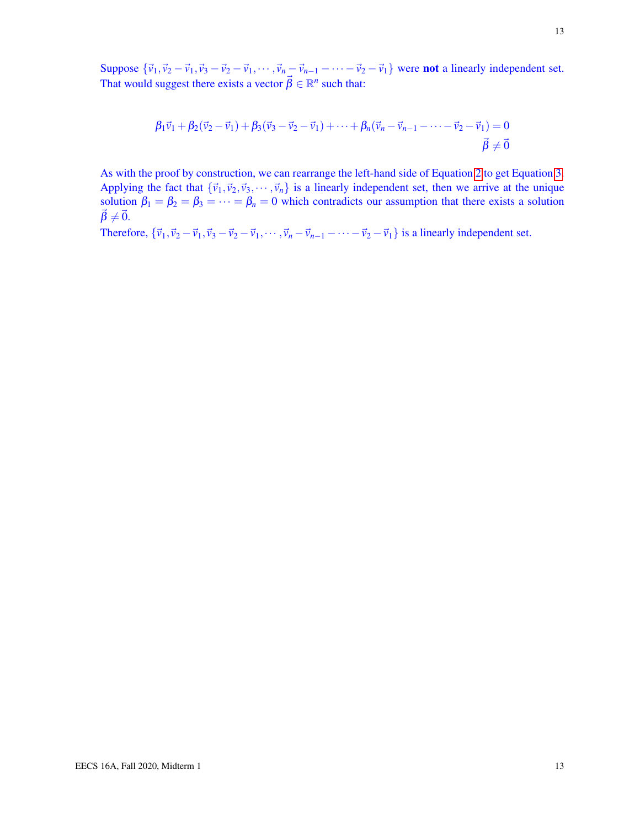Suppose  ${\vec{v_1}, \vec{v_2} - \vec{v_1}, \vec{v_3} - \vec{v_2} - \vec{v_1}, \dots, \vec{v_n} - \vec{v_{n-1}} - \dots - \vec{v_2} - \vec{v_1}}$  were **not** a linearly independent set. That would suggest there exists a vector  $\vec{\beta} \in \mathbb{R}^n$  such that:

$$
\beta_1 \vec{v}_1 + \beta_2 (\vec{v}_2 - \vec{v}_1) + \beta_3 (\vec{v}_3 - \vec{v}_2 - \vec{v}_1) + \dots + \beta_n (\vec{v}_n - \vec{v}_{n-1} - \dots - \vec{v}_2 - \vec{v}_1) = 0
$$
  

$$
\vec{\beta} \neq \vec{0}
$$

As with the proof by construction, we can rearrange the left-hand side of Equation [2](#page-11-0) to get Equation [3.](#page-11-2) Applying the fact that  ${\bar{v}_1, \bar{v}_2, \bar{v}_3, \cdots, \bar{v}_n}$  is a linearly independent set, then we arrive at the unique solution  $\beta_1 = \beta_2 = \beta_3 = \cdots = \beta_n = 0$  which contradicts our assumption that there exists a solution  $\vec{\beta} \neq \vec{0}$ .

Therefore,  ${\vec{v}_1, \vec{v}_2 - \vec{v}_1, \vec{v}_3 - \vec{v}_2 - \vec{v}_1, \dots, \vec{v}_n - \vec{v}_{n-1} - \dots - \vec{v}_2 - \vec{v}_1}$  is a linearly independent set.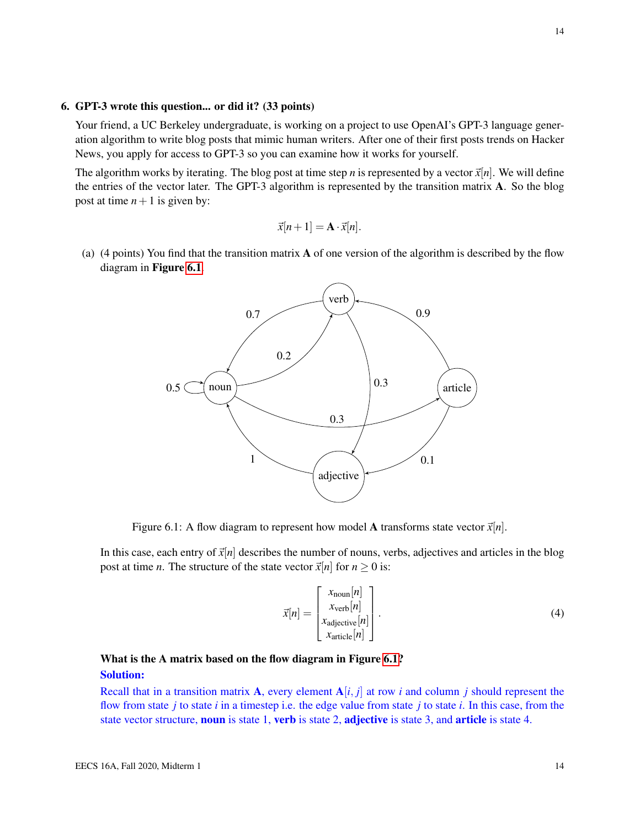#### 6. GPT-3 wrote this question... or did it? (33 points)

Your friend, a UC Berkeley undergraduate, is working on a project to use OpenAI's GPT-3 language generation algorithm to write blog posts that mimic human writers. After one of their first posts trends on Hacker News, you apply for access to GPT-3 so you can examine how it works for yourself.

The algorithm works by iterating. The blog post at time step *n* is represented by a vector  $\vec{x}[n]$ . We will define the entries of the vector later. The GPT-3 algorithm is represented by the transition matrix A. So the blog post at time  $n+1$  is given by:

$$
\vec{x}[n+1] = \mathbf{A} \cdot \vec{x}[n].
$$

<span id="page-13-0"></span>(a) (4 points) You find that the transition matrix A of one version of the algorithm is described by the flow diagram in Figure [6.1](#page-13-0).



Figure 6.1: A flow diagram to represent how model A transforms state vector  $\vec{x}[n]$ .

In this case, each entry of  $\vec{x}[n]$  describes the number of nouns, verbs, adjectives and articles in the blog post at time *n*. The structure of the state vector  $\vec{x}[n]$  for  $n \ge 0$  is:

$$
\vec{x}[n] = \begin{bmatrix} x_{\text{noun}}[n] \\ x_{\text{verb}}[n] \\ x_{\text{adjective}}[n] \\ x_{\text{article}}[n] \end{bmatrix} . \tag{4}
$$

## What is the A matrix based on the flow diagram in Figure [6.1?](#page-13-0) Solution:

Recall that in a transition matrix A, every element  $A[i, j]$  at row *i* and column *j* should represent the flow from state *j* to state *i* in a timestep i.e. the edge value from state *j* to state *i*. In this case, from the state vector structure, **noun** is state 1, **verb** is state 2, **adjective** is state 3, and **article** is state 4.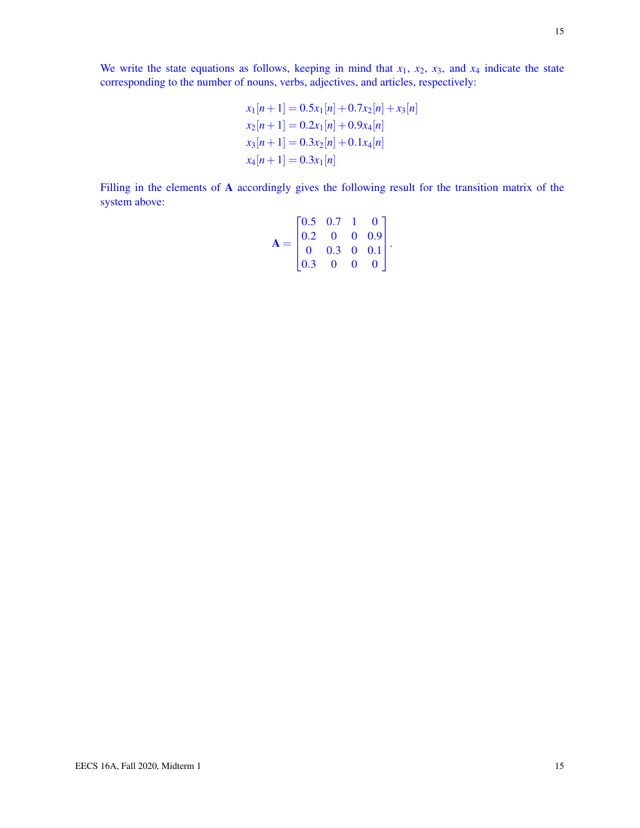We write the state equations as follows, keeping in mind that  $x_1$ ,  $x_2$ ,  $x_3$ , and  $x_4$  indicate the state corresponding to the number of nouns, verbs, adjectives, and articles, respectively:

$$
x_1[n+1] = 0.5x_1[n] + 0.7x_2[n] + x_3[n]
$$
  
\n
$$
x_2[n+1] = 0.2x_1[n] + 0.9x_4[n]
$$
  
\n
$$
x_3[n+1] = 0.3x_2[n] + 0.1x_4[n]
$$
  
\n
$$
x_4[n+1] = 0.3x_1[n]
$$

Filling in the elements of A accordingly gives the following result for the transition matrix of the system above:

$$
\mathbf{A} = \begin{bmatrix} 0.5 & 0.7 & 1 & 0 \\ 0.2 & 0 & 0 & 0.9 \\ 0 & 0.3 & 0 & 0.1 \\ 0.3 & 0 & 0 & 0 \end{bmatrix}.
$$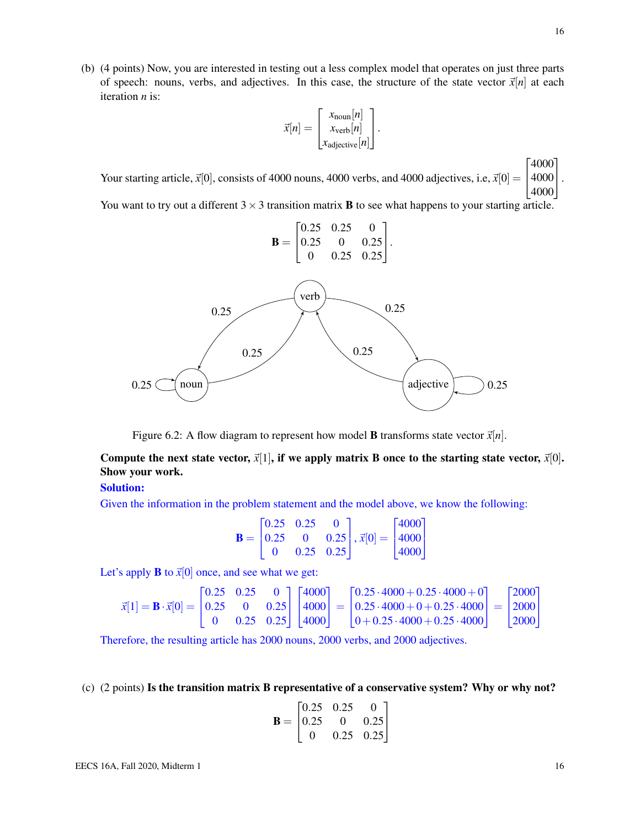(b) (4 points) Now, you are interested in testing out a less complex model that operates on just three parts of speech: nouns, verbs, and adjectives. In this case, the structure of the state vector  $\vec{x}[n]$  at each iteration *n* is:

$$
\vec{x}[n] = \begin{bmatrix} x_{\text{noun}}[n] \\ x_{\text{verb}}[n] \\ x_{\text{adjective}}[n] \end{bmatrix}.
$$

Your starting article,  $\vec{x}[0]$ , consists of 4000 nouns, 4000 verbs, and 4000 adjectives, i.e,  $\vec{x}[0] = \begin{bmatrix} 4000 \\ 4000 \end{bmatrix}$ .  $\sqrt{ }$ 4000 4000 1

You want to try out a different  $3 \times 3$  transition matrix **B** to see what happens to your starting article.



Figure 6.2: A flow diagram to represent how model **B** transforms state vector  $\vec{x}[n]$ .

Compute the next state vector,  $\vec{x}[1]$ , if we apply matrix B once to the starting state vector,  $\vec{x}[0]$ . Show your work.

#### Solution:

Given the information in the problem statement and the model above, we know the following:

$$
\mathbf{B} = \begin{bmatrix} 0.25 & 0.25 & 0 \\ 0.25 & 0 & 0.25 \\ 0 & 0.25 & 0.25 \end{bmatrix}, \vec{x}[0] = \begin{bmatrix} 4000 \\ 4000 \\ 4000 \end{bmatrix}
$$

Let's apply **B** to  $\vec{x}[0]$  once, and see what we get:

$$
\vec{x}[1] = \mathbf{B} \cdot \vec{x}[0] = \begin{bmatrix} 0.25 & 0.25 & 0 \\ 0.25 & 0 & 0.25 \\ 0 & 0.25 & 0.25 \end{bmatrix} \begin{bmatrix} 4000 \\ 4000 \\ 4000 \end{bmatrix} = \begin{bmatrix} 0.25 \cdot 4000 + 0.25 \cdot 4000 + 0 \\ 0.25 \cdot 4000 + 0 + 0.25 \cdot 4000 \\ 0 + 0.25 \cdot 4000 + 0.25 \cdot 4000 \end{bmatrix} = \begin{bmatrix} 2000 \\ 2000 \\ 2000 \end{bmatrix}
$$

Therefore, the resulting article has 2000 nouns, 2000 verbs, and 2000 adjectives.

(c) (2 points) Is the transition matrix B representative of a conservative system? Why or why not?

$$
\mathbf{B} = \begin{bmatrix} 0.25 & 0.25 & 0 \\ 0.25 & 0 & 0.25 \\ 0 & 0.25 & 0.25 \end{bmatrix}
$$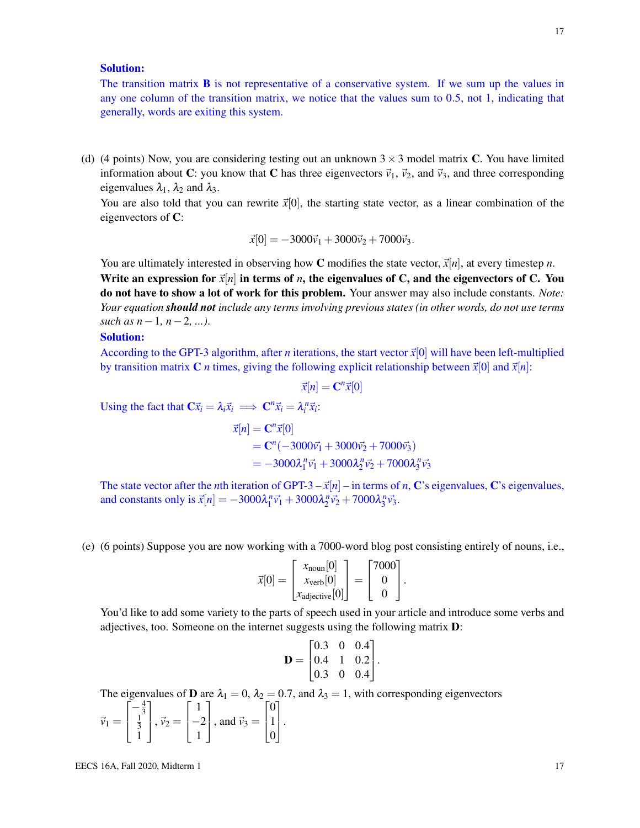#### Solution:

The transition matrix  $\bf{B}$  is not representative of a conservative system. If we sum up the values in any one column of the transition matrix, we notice that the values sum to 0.5, not 1, indicating that generally, words are exiting this system.

(d) (4 points) Now, you are considering testing out an unknown  $3 \times 3$  model matrix C. You have limited information about C: you know that C has three eigenvectors  $\vec{v}_1$ ,  $\vec{v}_2$ , and  $\vec{v}_3$ , and three corresponding eigenvalues  $\lambda_1$ ,  $\lambda_2$  and  $\lambda_3$ .

You are also told that you can rewrite  $\vec{x}[0]$ , the starting state vector, as a linear combination of the eigenvectors of C:

$$
\vec{x}[0] = -3000\vec{v}_1 + 3000\vec{v}_2 + 7000\vec{v}_3.
$$

You are ultimately interested in observing how C modifies the state vector,  $\vec{x}[n]$ , at every timestep *n*.

Write an expression for  $\vec{x}[n]$  in terms of *n*, the eigenvalues of C, and the eigenvectors of C. You do not have to show a lot of work for this problem. Your answer may also include constants. *Note: Your equation should not include any terms involving previous states (in other words, do not use terms such as n*−1*, n*−2*, ...)*.

#### Solution:

According to the GPT-3 algorithm, after *n* iterations, the start vector  $\vec{x}[0]$  will have been left-multiplied by transition matrix **C** *n* times, giving the following explicit relationship between  $\vec{x}[0]$  and  $\vec{x}[n]$ :

$$
\vec{x}[n] = \mathbf{C}^n \vec{x}[0]
$$

Using the fact that  $\mathbf{C}\vec{x}_i = \lambda_i \vec{x}_i \implies \mathbf{C}^n \vec{x}_i = \lambda_i^n \vec{x}_i$ :

 $\vec{x}[n] = \mathbf{C}^n \vec{x}[0]$  $= \mathbf{C}^n(-3000\vec{v}_1 + 3000\vec{v}_2 + 7000\vec{v}_3)$  $= -3000\lambda_1^n \vec{v_1} + 3000\lambda_2^n \vec{v_2} + 7000\lambda_3^n \vec{v_3}$ 

The state vector after the *n*th iteration of GPT-3 –  $\vec{x}[n]$  – in terms of *n*, C's eigenvalues, C's eigenvalues, and constants only is  $\vec{x}[n] = -3000\lambda_1^n \vec{v}_1 + 3000\lambda_2^n \vec{v}_2 + 7000\lambda_3^n \vec{v}_3$ .

(e) (6 points) Suppose you are now working with a 7000-word blog post consisting entirely of nouns, i.e.,

$$
\vec{x}[0] = \begin{bmatrix} x_{\text{noun}}[0] \\ x_{\text{verb}}[0] \\ x_{\text{adjective}}[0] \end{bmatrix} = \begin{bmatrix} 7000 \\ 0 \\ 0 \end{bmatrix}.
$$

You'd like to add some variety to the parts of speech used in your article and introduce some verbs and adjectives, too. Someone on the internet suggests using the following matrix D:

$$
\mathbf{D} = \begin{bmatrix} 0.3 & 0 & 0.4 \\ 0.4 & 1 & 0.2 \\ 0.3 & 0 & 0.4 \end{bmatrix}.
$$

The eigenvalues of **D** are  $\lambda_1 = 0$ ,  $\lambda_2 = 0.7$ , and  $\lambda_3 = 1$ , with corresponding eigenvectors

$$
\vec{v}_1 = \begin{bmatrix} -\frac{4}{3} \\ \frac{1}{3} \\ 1 \end{bmatrix}, \vec{v}_2 = \begin{bmatrix} 1 \\ -2 \\ 1 \end{bmatrix}, \text{ and } \vec{v}_3 = \begin{bmatrix} 0 \\ 1 \\ 0 \end{bmatrix}.
$$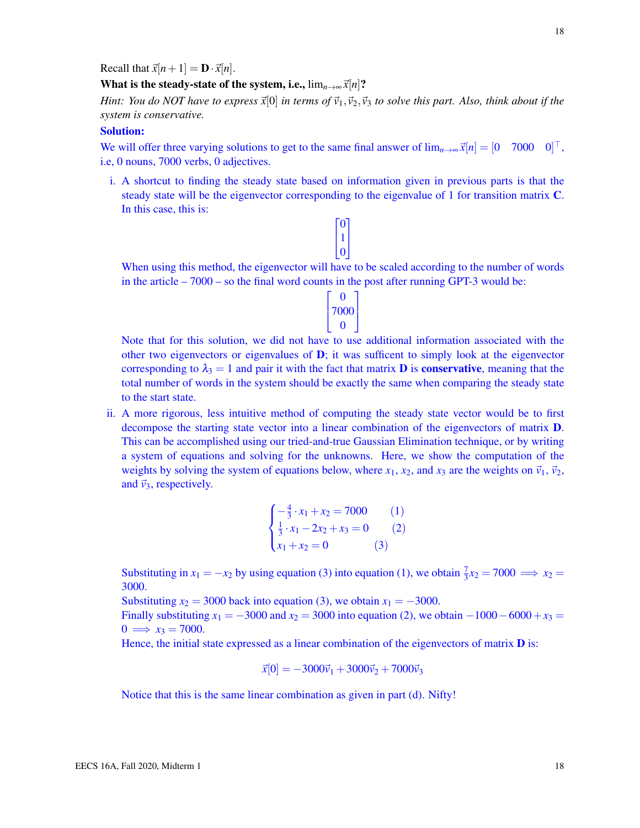Recall that  $\vec{x}[n+1] = \mathbf{D} \cdot \vec{x}[n]$ .

What is the steady-state of the system, i.e.,  $\lim_{n\to\infty} \vec{x}[n]$ ?

*Hint: You do NOT have to express*  $\vec{x}[0]$  *in terms of*  $\vec{v}_1, \vec{v}_2, \vec{v}_3$  *to solve this part. Also, think about if the system is conservative.*

#### Solution:

We will offer three varying solutions to get to the same final answer of  $\lim_{n\to\infty} \vec{x}[n] = [0 \quad 7000 \quad 0]^\top$ , i.e, 0 nouns, 7000 verbs, 0 adjectives.

i. A shortcut to finding the steady state based on information given in previous parts is that the steady state will be the eigenvector corresponding to the eigenvalue of 1 for transition matrix C. In this case, this is:



When using this method, the eigenvector will have to be scaled according to the number of words in the article – 7000 – so the final word counts in the post after running GPT-3 would be:

| O    |  |
|------|--|
| 7000 |  |
| 0    |  |

Note that for this solution, we did not have to use additional information associated with the other two eigenvectors or eigenvalues of  $\mathbf{D}$ ; it was sufficent to simply look at the eigenvector corresponding to  $\lambda_3 = 1$  and pair it with the fact that matrix **D** is **conservative**, meaning that the total number of words in the system should be exactly the same when comparing the steady state to the start state.

ii. A more rigorous, less intuitive method of computing the steady state vector would be to first decompose the starting state vector into a linear combination of the eigenvectors of matrix D. This can be accomplished using our tried-and-true Gaussian Elimination technique, or by writing a system of equations and solving for the unknowns. Here, we show the computation of the weights by solving the system of equations below, where  $x_1$ ,  $x_2$ , and  $x_3$  are the weights on  $\vec{v}_1$ ,  $\vec{v}_2$ , and  $\vec{v}_3$ , respectively.

$$
\begin{cases}\n-\frac{4}{3} \cdot x_1 + x_2 = 7000 & (1) \\
\frac{1}{3} \cdot x_1 - 2x_2 + x_3 = 0 & (2) \\
x_1 + x_2 = 0 & (3)\n\end{cases}
$$

Substituting in  $x_1 = -x_2$  by using equation (3) into equation (1), we obtain  $\frac{7}{3}x_2 = 7000 \implies x_2 =$ 3000.

Substituting  $x_2 = 3000$  back into equation (3), we obtain  $x_1 = -3000$ .

Finally substituting  $x_1 = -3000$  and  $x_2 = 3000$  into equation (2), we obtain  $-1000 - 6000 + x_3 =$  $0 \implies x_3 = 7000.$ 

Hence, the initial state expressed as a linear combination of the eigenvectors of matrix  **is:** 

$$
\vec{x}[0] = -3000\vec{v}_1 + 3000\vec{v}_2 + 7000\vec{v}_3
$$

Notice that this is the same linear combination as given in part (d). Nifty!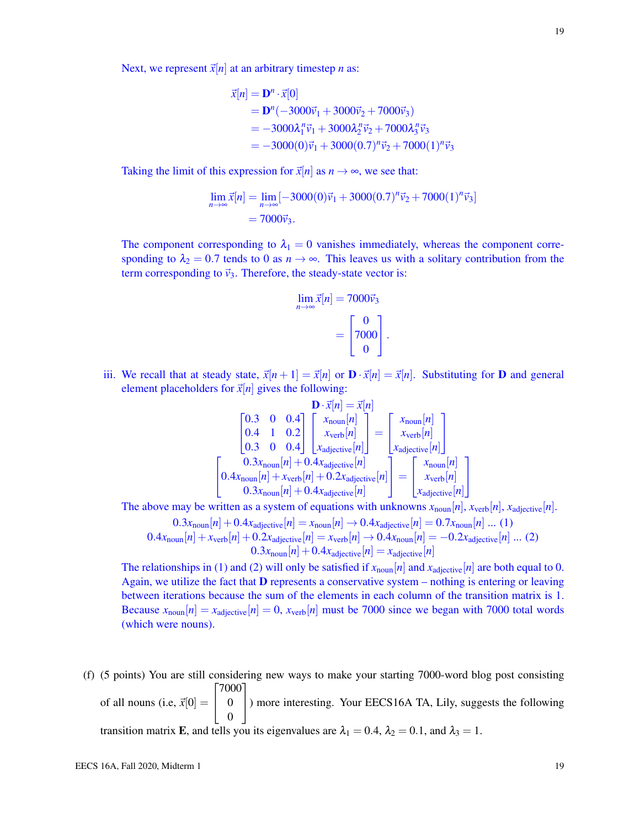Next, we represent  $\vec{x}[n]$  at an arbitrary timestep *n* as:

$$
\vec{x}[n] = \mathbf{D}^n \cdot \vec{x}[0] \n= \mathbf{D}^n (-3000\vec{v}_1 + 3000\vec{v}_2 + 7000\vec{v}_3) \n= -3000\lambda_1^n \vec{v}_1 + 3000\lambda_2^n \vec{v}_2 + 7000\lambda_3^n \vec{v}_3 \n= -3000(0)\vec{v}_1 + 3000(0.7)^n \vec{v}_2 + 7000(1)^n \vec{v}_3
$$

Taking the limit of this expression for  $\vec{x}[n]$  as  $n \to \infty$ , we see that:

$$
\lim_{n \to \infty} \vec{x}[n] = \lim_{n \to \infty} [-3000(0)\vec{v}_1 + 3000(0.7)^n \vec{v}_2 + 7000(1)^n \vec{v}_3]
$$
  
= 7000 $\vec{v}_3$ .

The component corresponding to  $\lambda_1 = 0$  vanishes immediately, whereas the component corresponding to  $\lambda_2 = 0.7$  tends to 0 as  $n \to \infty$ . This leaves us with a solitary contribution from the term corresponding to  $\vec{v}_3$ . Therefore, the steady-state vector is:

$$
\lim_{n \to \infty} \vec{x}[n] = 7000 \vec{v}_3
$$

$$
= \begin{bmatrix} 0 \\ 7000 \\ 0 \end{bmatrix}.
$$

iii. We recall that at steady state,  $\vec{x}[n+1] = \vec{x}[n]$  or  $\mathbf{D} \cdot \vec{x}[n] = \vec{x}[n]$ . Substituting for **D** and general element placeholders for  $\vec{x}[n]$  gives the following:

$$
\begin{bmatrix}\n0.3 & 0 & 0.4 \\
0.4 & 1 & 0.2 \\
0.3 & 0 & 0.4\n\end{bmatrix}\n\begin{bmatrix}\nx_{\text{noun}}[n] \\
x_{\text{verb}}[n] \\
x_{\text{adjective}}[n]\n\end{bmatrix} =\n\begin{bmatrix}\nx_{\text{noun}}[n] \\
x_{\text{verb}}[n] \\
x_{\text{adjective}}[n]\n\end{bmatrix}
$$
\n
$$
\begin{bmatrix}\n0.3x_{\text{noun}}[n] + 0.4x_{\text{adjective}}[n] \\
0.4x_{\text{noun}}[n] + x_{\text{verb}}[n] + 0.2x_{\text{adjective}}[n] \\
0.3x_{\text{noun}}[n] + 0.4x_{\text{adjective}}[n]\n\end{bmatrix} =\n\begin{bmatrix}\nx_{\text{noun}}[n] \\
x_{\text{verb}}[n] \\
x_{\text{defjective}}[n]\n\end{bmatrix}
$$

The above may be written as a system of equations with unknowns  $x_{\text{noun}}[n]$ ,  $x_{\text{verb}}[n]$ ,  $x_{\text{adjective}}[n]$ .

$$
0.3x_{\text{noun}}[n] + 0.4x_{\text{adjective}}[n] = x_{\text{noun}}[n] \rightarrow 0.4x_{\text{adjective}}[n] = 0.7x_{\text{noun}}[n] \dots (1)
$$
  

$$
0.4x_{\text{noun}}[n] + x_{\text{verb}}[n] + 0.2x_{\text{adjective}}[n] = x_{\text{verb}}[n] \rightarrow 0.4x_{\text{noun}}[n] = -0.2x_{\text{adjective}}[n] \dots (2)
$$
  

$$
0.3x_{\text{noun}}[n] + 0.4x_{\text{adjective}}[n] = x_{\text{adjective}}[n]
$$

The relationships in (1) and (2) will only be satisfied if  $x_{\text{noun}}[n]$  and  $x_{\text{adjective}}[n]$  are both equal to 0. Again, we utilize the fact that  **represents a conservative system – nothing is entering or leaving** between iterations because the sum of the elements in each column of the transition matrix is 1. Because  $x_{\text{noun}}[n] = x_{\text{adjective}}[n] = 0$ ,  $x_{\text{verb}}[n]$  must be 7000 since we began with 7000 total words (which were nouns).

(f) (5 points) You are still considering new ways to make your starting 7000-word blog post consisting of all nouns (i.e,  $\vec{x}[0] =$  $\sqrt{ }$  $\overline{1}$ 7000 0 0 1 ) more interesting. Your EECS16A TA, Lily, suggests the following transition matrix E, and tells you its eigenvalues are  $\lambda_1 = 0.4$ ,  $\lambda_2 = 0.1$ , and  $\lambda_3 = 1$ .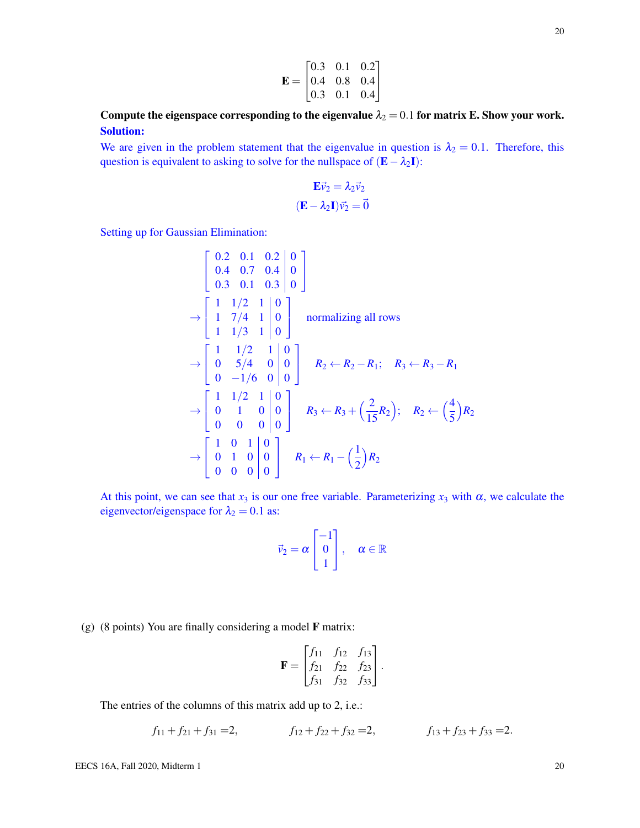$$
\mathbf{E} = \begin{bmatrix} 0.3 & 0.1 & 0.2 \\ 0.4 & 0.8 & 0.4 \\ 0.3 & 0.1 & 0.4 \end{bmatrix}
$$

Compute the eigenspace corresponding to the eigenvalue  $\lambda_2 = 0.1$  for matrix E. Show your work. Solution:

We are given in the problem statement that the eigenvalue in question is  $\lambda_2 = 0.1$ . Therefore, this question is equivalent to asking to solve for the nullspace of  $(E - \lambda_2 I)$ :

$$
\mathbf{E}\vec{v}_2 = \lambda_2 \vec{v}_2
$$

$$
(\mathbf{E} - \lambda_2 \mathbf{I})\vec{v}_2 = \vec{0}
$$

Setting up for Gaussian Elimination:

$$
\begin{bmatrix}\n0.2 & 0.1 & 0.2 & 0 \\
0.4 & 0.7 & 0.4 & 0 \\
0.3 & 0.1 & 0.3 & 0\n\end{bmatrix}
$$
\n
$$
\rightarrow \begin{bmatrix}\n1 & 1/2 & 1 & 0 \\
1 & 7/4 & 1 & 0 \\
1 & 1/3 & 1 & 0\n\end{bmatrix}
$$
\nnormalizing all rows\n
$$
\rightarrow \begin{bmatrix}\n1 & 1/2 & 1 & 0 \\
0 & 5/4 & 0 & 0 \\
0 & -1/6 & 0 & 0\n\end{bmatrix}
$$
\n
$$
R_2 \leftarrow R_2 - R_1; \quad R_3 \leftarrow R_3 - R_1
$$
\n
$$
\rightarrow \begin{bmatrix}\n1 & 1/2 & 1 & 0 \\
0 & 1 & 0 & 0 \\
0 & 0 & 0 & 0\n\end{bmatrix}
$$
\n
$$
R_3 \leftarrow R_3 + \left(\frac{2}{15}R_2\right); \quad R_2 \leftarrow \left(\frac{4}{5}\right)R_2
$$
\n
$$
\rightarrow \begin{bmatrix}\n1 & 0 & 1 & 0 & 0 \\
0 & 1 & 0 & 0 & 0 \\
0 & 0 & 0 & 0 & 0\n\end{bmatrix}
$$
\n
$$
R_1 \leftarrow R_1 - \left(\frac{1}{2}\right)R_2
$$

At this point, we can see that  $x_3$  is our one free variable. Parameterizing  $x_3$  with  $\alpha$ , we calculate the eigenvector/eigenspace for  $\lambda_2 = 0.1$  as:

$$
\vec{v}_2 = \alpha \begin{bmatrix} -1 \\ 0 \\ 1 \end{bmatrix}, \quad \alpha \in \mathbb{R}
$$

(g) (8 points) You are finally considering a model  $\bf{F}$  matrix:

$$
\mathbf{F} = \begin{bmatrix} f_{11} & f_{12} & f_{13} \\ f_{21} & f_{22} & f_{23} \\ f_{31} & f_{32} & f_{33} \end{bmatrix}.
$$

The entries of the columns of this matrix add up to 2, i.e.:

$$
f_{11} + f_{21} + f_{31} = 2,
$$
  $f_{12} + f_{22} + f_{32} = 2,$   $f_{13} + f_{23} + f_{33} = 2.$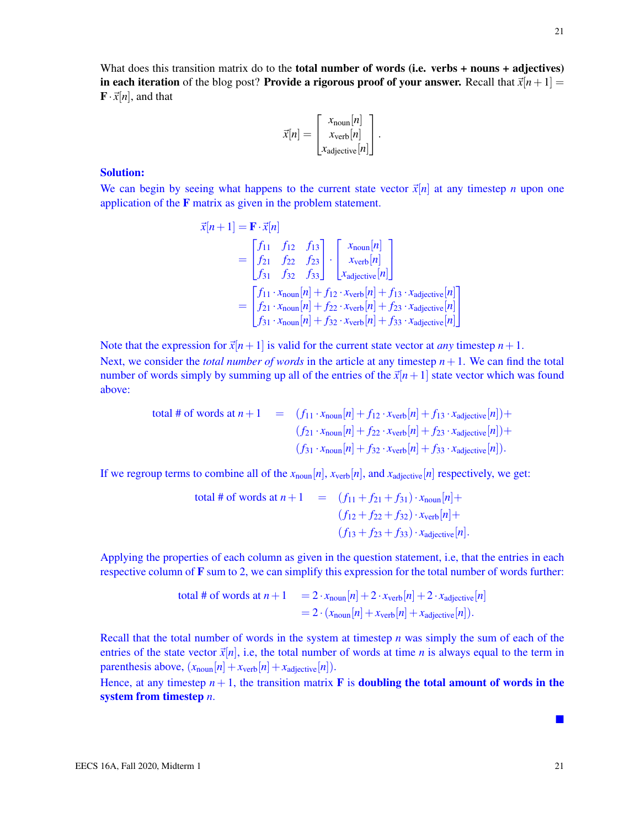What does this transition matrix do to the **total number of words (i.e. verbs + nouns + adjectives)** in each iteration of the blog post? Provide a rigorous proof of your answer. Recall that  $\vec{x}[n+1] =$  $\mathbf{F} \cdot \vec{x}[n]$ , and that

$$
\vec{x}[n] = \begin{bmatrix} x_{\text{noun}}[n] \\ x_{\text{verb}}[n] \\ x_{\text{adjective}}[n] \end{bmatrix}.
$$

#### Solution:

We can begin by seeing what happens to the current state vector  $\vec{x}[n]$  at any timestep *n* upon one application of the F matrix as given in the problem statement.

$$
\vec{x}[n+1] = \mathbf{F} \cdot \vec{x}[n]
$$
\n
$$
= \begin{bmatrix} f_{11} & f_{12} & f_{13} \\ f_{21} & f_{22} & f_{23} \\ f_{31} & f_{32} & f_{33} \end{bmatrix} \cdot \begin{bmatrix} x_{\text{noun}}[n] \\ x_{\text{verb}}[n] \\ x_{\text{adjective}}[n] \end{bmatrix}
$$
\n
$$
= \begin{bmatrix} f_{11} \cdot x_{\text{noun}}[n] + f_{12} \cdot x_{\text{verb}}[n] + f_{13} \cdot x_{\text{adjective}}[n] \\ f_{21} \cdot x_{\text{noun}}[n] + f_{22} \cdot x_{\text{verb}}[n] + f_{23} \cdot x_{\text{adjective}}[n] \\ f_{31} \cdot x_{\text{noun}}[n] + f_{32} \cdot x_{\text{verb}}[n] + f_{33} \cdot x_{\text{adjective}}[n] \end{bmatrix}
$$

1  $\mathbf{I}$ 

Note that the expression for  $\vec{x}[n+1]$  is valid for the current state vector at *any* timestep  $n+1$ . Next, we consider the *total number of words* in the article at any timestep *n*+1. We can find the total number of words simply by summing up all of the entries of the  $\vec{x}[n+1]$  state vector which was found above:

total # of words at 
$$
n + 1
$$
 =  $(f_{11} \cdot x_{\text{noun}}[n] + f_{12} \cdot x_{\text{verb}}[n] + f_{13} \cdot x_{\text{adjective}}[n]) +$   
\n $(f_{21} \cdot x_{\text{noun}}[n] + f_{22} \cdot x_{\text{verb}}[n] + f_{23} \cdot x_{\text{adjective}}[n]) +$   
\n $(f_{31} \cdot x_{\text{noun}}[n] + f_{32} \cdot x_{\text{verb}}[n] + f_{33} \cdot x_{\text{adjective}}[n]).$ 

If we regroup terms to combine all of the  $x_{\text{noun}}[n]$ ,  $x_{\text{verb}}[n]$ , and  $x_{\text{adjective}}[n]$  respectively, we get:

total # of words at 
$$
n + 1
$$
 =  $(f_{11} + f_{21} + f_{31}) \cdot x_{\text{noun}}[n] +$   
\n $(f_{12} + f_{22} + f_{32}) \cdot x_{\text{verb}}[n] +$   
\n $(f_{13} + f_{23} + f_{33}) \cdot x_{\text{adjective}}[n].$ 

Applying the properties of each column as given in the question statement, i.e, that the entries in each respective column of  $\bf{F}$  sum to 2, we can simplify this expression for the total number of words further:

total # of words at 
$$
n + 1
$$
 = 2 ·  $x_{\text{noun}}[n] + 2 · x_{\text{verb}}[n] + 2 · x_{\text{adjective}}[n]$   
= 2 ·  $(x_{\text{noun}}[n] + x_{\text{verb}}[n] + x_{\text{adjective}}[n])$ .

Recall that the total number of words in the system at timestep *n* was simply the sum of each of the entries of the state vector  $\vec{x}[n]$ , i.e, the total number of words at time *n* is always equal to the term in parenthesis above,  $(x_{\text{noun}}[n] + x_{\text{verb}}[n] + x_{\text{adjective}}[n])$ .

Hence, at any timestep  $n+1$ , the transition matrix **F** is **doubling the total amount of words in the** system from timestep *n*.

ш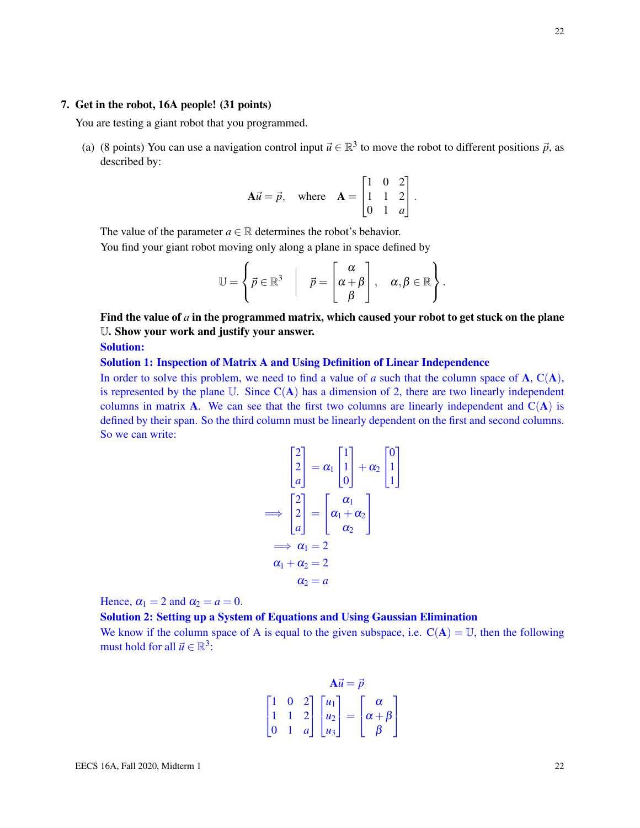#### 7. Get in the robot, 16A people! (31 points)

You are testing a giant robot that you programmed.

(a) (8 points) You can use a navigation control input  $\vec{u} \in \mathbb{R}^3$  to move the robot to different positions  $\vec{p}$ , as described by:

$$
\mathbf{A}\vec{u} = \vec{p}, \quad \text{where} \quad \mathbf{A} = \begin{bmatrix} 1 & 0 & 2 \\ 1 & 1 & 2 \\ 0 & 1 & a \end{bmatrix}.
$$

The value of the parameter  $a \in \mathbb{R}$  determines the robot's behavior.

 $\mathcal{L}$ 

You find your giant robot moving only along a plane in space defined by

$$
\mathbb{U} = \left\{ \vec{p} \in \mathbb{R}^3 \middle| \quad \vec{p} = \begin{bmatrix} \alpha \\ \alpha + \beta \\ \beta \end{bmatrix}, \quad \alpha, \beta \in \mathbb{R} \right\}.
$$

Find the value of *a* in the programmed matrix, which caused your robot to get stuck on the plane U. Show your work and justify your answer.

Solution:

## Solution 1: Inspection of Matrix A and Using Definition of Linear Independence

In order to solve this problem, we need to find a value of *a* such that the column space of **A**,  $C(A)$ , is represented by the plane  $\mathbb{U}$ . Since  $\mathbb{C}(\mathbf{A})$  has a dimension of 2, there are two linearly independent columns in matrix **A**. We can see that the first two columns are linearly independent and  $C(A)$  is defined by their span. So the third column must be linearly dependent on the first and second columns. So we can write:

$$
\begin{bmatrix} 2 \\ 2 \\ a \end{bmatrix} = \alpha_1 \begin{bmatrix} 1 \\ 1 \\ 0 \end{bmatrix} + \alpha_2 \begin{bmatrix} 0 \\ 1 \\ 1 \end{bmatrix}
$$

$$
\implies \begin{bmatrix} 2 \\ 2 \\ a \end{bmatrix} = \begin{bmatrix} \alpha_1 \\ \alpha_1 + \alpha_2 \\ \alpha_2 \end{bmatrix}
$$

$$
\implies \alpha_1 = 2
$$

$$
\alpha_1 + \alpha_2 = 2
$$

$$
\alpha_2 = a
$$

Hence,  $\alpha_1 = 2$  and  $\alpha_2 = a = 0$ .

## Solution 2: Setting up a System of Equations and Using Gaussian Elimination

We know if the column space of A is equal to the given subspace, i.e.  $C(A) = U$ , then the following must hold for all  $\vec{u} \in \mathbb{R}^3$ :

$$
\mathbf{A}\vec{u} = \vec{p}
$$
  
\n
$$
\begin{bmatrix} 1 & 0 & 2 \\ 1 & 1 & 2 \\ 0 & 1 & a \end{bmatrix} \begin{bmatrix} u_1 \\ u_2 \\ u_3 \end{bmatrix} = \begin{bmatrix} \alpha \\ \alpha + \beta \\ \beta \end{bmatrix}
$$

22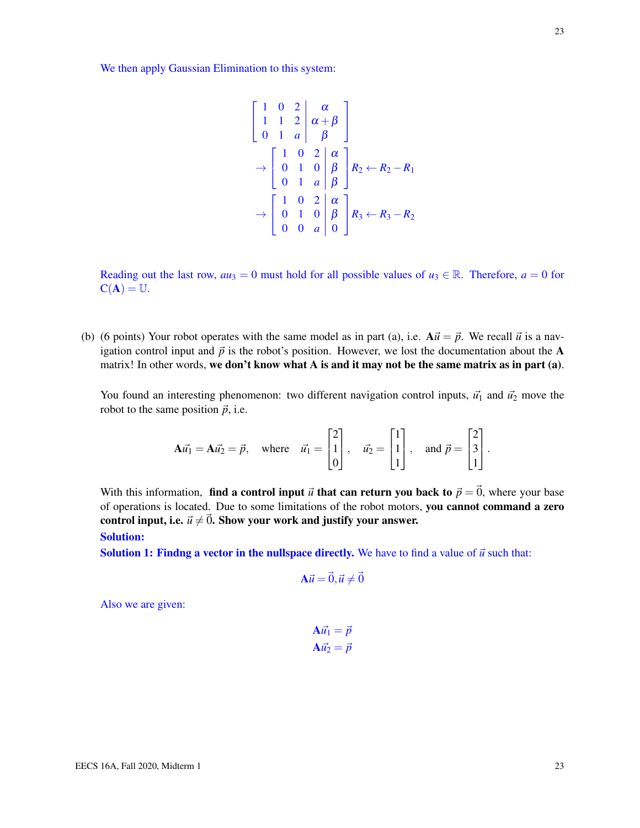We then apply Gaussian Elimination to this system:

$$
\begin{bmatrix} 1 & 0 & 2 & \alpha \\ 1 & 1 & 2 & \alpha + \beta \\ 0 & 1 & a & \beta \end{bmatrix}
$$
  
\n
$$
\rightarrow \begin{bmatrix} 1 & 0 & 2 & \alpha \\ 0 & 1 & 0 & \beta \\ 0 & 1 & a & \beta \end{bmatrix} R_2 \leftarrow R_2 - R_1
$$
  
\n
$$
\rightarrow \begin{bmatrix} 1 & 0 & 2 & \alpha \\ 0 & 1 & 0 & \beta \\ 0 & 0 & a & 0 \end{bmatrix} R_3 \leftarrow R_3 - R_2
$$

Reading out the last row,  $au_3 = 0$  must hold for all possible values of  $u_3 \in \mathbb{R}$ . Therefore,  $a = 0$  for  $C(A) = U.$ 

(b) (6 points) Your robot operates with the same model as in part (a), i.e.  $A\vec{u} = \vec{p}$ . We recall  $\vec{u}$  is a navigation control input and  $\vec{p}$  is the robot's position. However, we lost the documentation about the A matrix! In other words, we don't know what A is and it may not be the same matrix as in part (a).

You found an interesting phenomenon: two different navigation control inputs,  $\vec{u_1}$  and  $\vec{u_2}$  move the robot to the same position  $\vec{p}$ , i.e.

$$
\mathbf{A}\vec{u_1} = \mathbf{A}\vec{u_2} = \vec{p}, \text{ where } \vec{u_1} = \begin{bmatrix} 2 \\ 1 \\ 0 \end{bmatrix}, \vec{u_2} = \begin{bmatrix} 1 \\ 1 \\ 1 \end{bmatrix}, \text{ and } \vec{p} = \begin{bmatrix} 2 \\ 3 \\ 1 \end{bmatrix}.
$$

With this information, find a control input  $\vec{u}$  that can return you back to  $\vec{p} = \vec{0}$ , where your base of operations is located. Due to some limitations of the robot motors, you cannot command a zero control input, i.e.  $\vec{u} \neq \vec{0}$ . Show your work and justify your answer.

Solution:

**Solution 1: Findng a vector in the nullspace directly.** We have to find a value of  $\vec{u}$  such that:

$$
\mathbf{A}\vec{u} = \vec{0}, \vec{u} \neq \vec{0}
$$

Also we are given:

$$
\mathbf{A}\vec{u_1} = \vec{p}
$$

$$
\mathbf{A}\vec{u_2} = \vec{p}
$$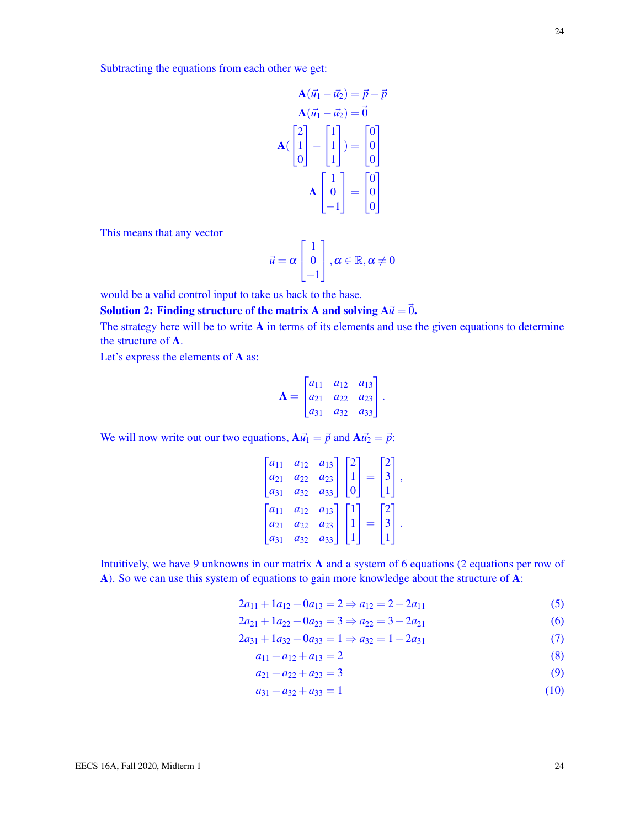Subtracting the equations from each other we get:

$$
\mathbf{A}(\vec{u_1} - \vec{u_2}) = \vec{p} - \vec{p}
$$

$$
\mathbf{A}(\vec{u_1} - \vec{u_2}) = \vec{0}
$$

$$
\mathbf{A}(\begin{bmatrix} 2 \\ 1 \\ 0 \end{bmatrix} - \begin{bmatrix} 1 \\ 1 \\ 1 \end{bmatrix}) = \begin{bmatrix} 0 \\ 0 \\ 0 \end{bmatrix}
$$

$$
\mathbf{A} \begin{bmatrix} 1 \\ 0 \\ -1 \end{bmatrix} = \begin{bmatrix} 0 \\ 0 \\ 0 \end{bmatrix}
$$

This means that any vector

$$
\vec{u} = \alpha \begin{bmatrix} 1 \\ 0 \\ -1 \end{bmatrix}, \alpha \in \mathbb{R}, \alpha \neq 0
$$

would be a valid control input to take us back to the base.

Solution 2: Finding structure of the matrix A and solving  $A\vec{u} = \vec{0}$ .

The strategy here will be to write A in terms of its elements and use the given equations to determine the structure of A.

Let's express the elements of A as:

$$
\mathbf{A} = \begin{bmatrix} a_{11} & a_{12} & a_{13} \\ a_{21} & a_{22} & a_{23} \\ a_{31} & a_{32} & a_{33} \end{bmatrix}.
$$

We will now write out our two equations,  $A\vec{u}_1 = \vec{p}$  and  $A\vec{u}_2 = \vec{p}$ :

|                      | $a_{12}$ | $a_{13}$ |  |   |   |
|----------------------|----------|----------|--|---|---|
| $a_{21}$             | $a_{22}$ | $a_{23}$ |  |   | ٠ |
|                      | $a_{32}$ | $a_{33}$ |  |   |   |
|                      |          |          |  |   |   |
| .<br>a <sub>11</sub> | $a_{12}$ | $a_{13}$ |  | ∠ |   |
|                      |          | $a_{23}$ |  |   |   |

Intuitively, we have 9 unknowns in our matrix A and a system of 6 equations (2 equations per row of A). So we can use this system of equations to gain more knowledge about the structure of A:

$$
2a_{11} + 1a_{12} + 0a_{13} = 2 \Rightarrow a_{12} = 2 - 2a_{11}
$$
 (5)

$$
2a_{21} + 1a_{22} + 0a_{23} = 3 \Rightarrow a_{22} = 3 - 2a_{21}
$$
 (6)

$$
2a_{31} + 1a_{32} + 0a_{33} = 1 \Rightarrow a_{32} = 1 - 2a_{31}
$$
 (7)

- <span id="page-23-3"></span><span id="page-23-2"></span><span id="page-23-1"></span><span id="page-23-0"></span> $a_{11} + a_{12} + a_{13} = 2$  (8)
- <span id="page-23-4"></span> $a_{21} + a_{22} + a_{23} = 3$  (9)
- <span id="page-23-5"></span> $a_{31} + a_{32} + a_{33} = 1$  (10)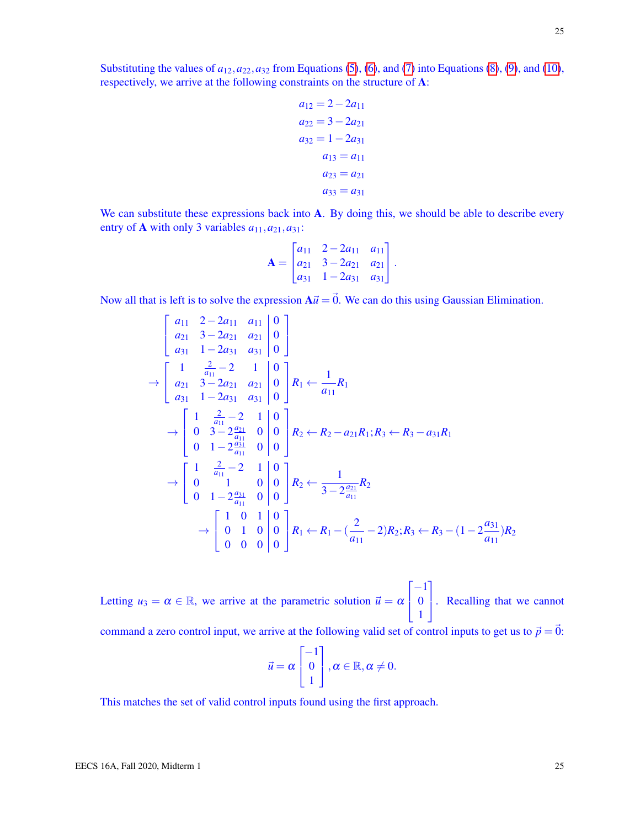Substituting the values of  $a_{12}, a_{22}, a_{32}$  from Equations [\(5\)](#page-23-0), [\(6\)](#page-23-1), and [\(7\)](#page-23-2) into Equations [\(8\)](#page-23-3), [\(9\)](#page-23-4), and [\(10\)](#page-23-5), respectively, we arrive at the following constraints on the structure of A:

$$
a_{12} = 2 - 2a_{11}
$$
  
\n
$$
a_{22} = 3 - 2a_{21}
$$
  
\n
$$
a_{32} = 1 - 2a_{31}
$$
  
\n
$$
a_{13} = a_{11}
$$
  
\n
$$
a_{23} = a_{21}
$$
  
\n
$$
a_{33} = a_{31}
$$

We can substitute these expressions back into A. By doing this, we should be able to describe every entry of **A** with only 3 variables  $a_{11}, a_{21}, a_{31}$ :

$$
\mathbf{A} = \begin{bmatrix} a_{11} & 2 - 2a_{11} & a_{11} \\ a_{21} & 3 - 2a_{21} & a_{21} \\ a_{31} & 1 - 2a_{31} & a_{31} \end{bmatrix}.
$$

Now all that is left is to solve the expression  $A\vec{u} = \vec{0}$ . We can do this using Gaussian Elimination.

$$
\begin{bmatrix}\na_{11} & 2-2a_{11} & a_{11} & 0 \\
a_{21} & 3-2a_{21} & a_{21} & 0 \\
a_{31} & 1-2a_{31} & a_{31} & 0\n\end{bmatrix}
$$
\n
$$
\rightarrow \begin{bmatrix}\n1 & \frac{2}{a_{11}} - 2 & 1 & 0 \\
a_{21} & 3-2a_{21} & a_{21} & 0 \\
a_{31} & 1-2a_{31} & a_{31} & 0\n\end{bmatrix} R_1 \leftarrow \frac{1}{a_{11}} R_1
$$
\n
$$
\rightarrow \begin{bmatrix}\n1 & \frac{2}{a_{11}} - 2 & 1 & 0 \\
0 & 3-2\frac{a_{21}}{a_{11}} & 0 & 0 \\
0 & 1-2\frac{a_{31}}{a_{11}} & 0 & 0\n\end{bmatrix} R_2 \leftarrow R_2 - a_{21}R_1; R_3 \leftarrow R_3 - a_{31}R_1
$$
\n
$$
\rightarrow \begin{bmatrix}\n1 & \frac{2}{a_{11}} - 2 & 1 & 0 \\
0 & 1 & 0 & 0 \\
0 & 1-2\frac{a_{31}}{a_{11}} & 0 & 0 \\
0 & 1-2\frac{a_{31}}{a_{11}} & 0 & 0\n\end{bmatrix} R_2 \leftarrow \frac{1}{3-2\frac{a_{21}}{a_{11}}} R_2
$$
\n
$$
\rightarrow \begin{bmatrix}\n1 & 0 & 1 & 0 \\
0 & 1 & 0 & 0 \\
0 & 0 & 0 & 0\n\end{bmatrix} R_1 \leftarrow R_1 - (\frac{2}{a_{11}} - 2)R_2; R_3 \leftarrow R_3 - (1 - 2\frac{a_{31}}{a_{11}})R_2
$$

Letting  $u_3 = \alpha \in \mathbb{R}$ , we arrive at the parametric solution  $\vec{u} = \alpha$  $\sqrt{ }$  $\mathbf{I}$  $-1$ 0 1 1 . Recalling that we cannot command a zero control input, we arrive at the following valid set of control inputs to get us to  $\vec{p} = \vec{0}$ :

$$
\vec{u} = \alpha \begin{bmatrix} -1 \\ 0 \\ 1 \end{bmatrix}, \alpha \in \mathbb{R}, \alpha \neq 0.
$$

This matches the set of valid control inputs found using the first approach.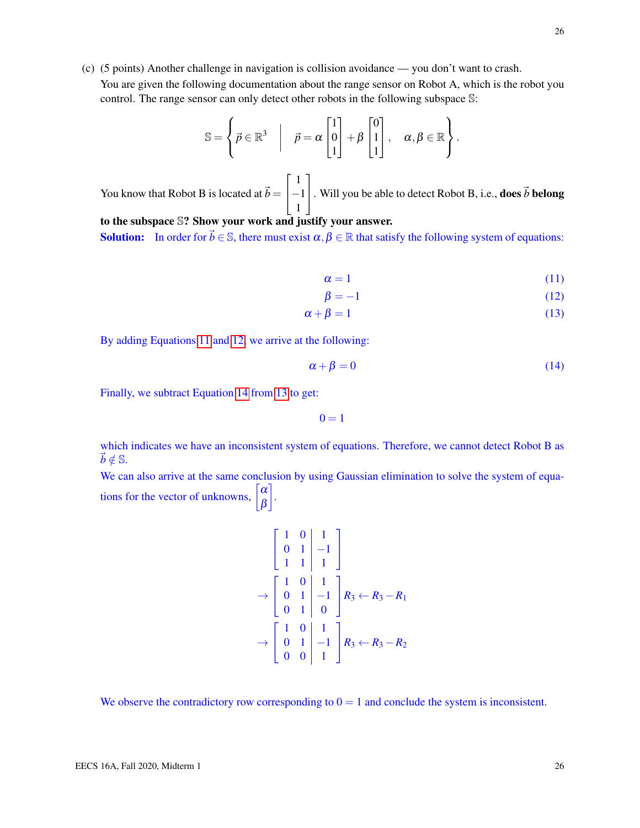26

(c) (5 points) Another challenge in navigation is collision avoidance — you don't want to crash. You are given the following documentation about the range sensor on Robot A, which is the robot you control. The range sensor can only detect other robots in the following subspace S:

$$
\mathbb{S} = \left\{ \vec{p} \in \mathbb{R}^3 \middle| \quad \vec{p} = \alpha \begin{bmatrix} 1 \\ 0 \\ 1 \end{bmatrix} + \beta \begin{bmatrix} 0 \\ 1 \\ 1 \end{bmatrix}, \quad \alpha, \beta \in \mathbb{R} \right\}.
$$

You know that Robot B is located at  $\vec{b} =$  $\sqrt{ }$  $\overline{1}$ 1 −1 1 1 . Will you be able to detect Robot B, i.e., **does**  $\vec{b}$  **belong** 

to the subspace S? Show your work and justify your answer. **Solution:** In order for  $\vec{b} \in \mathbb{S}$ , there must exist  $\alpha, \beta \in \mathbb{R}$  that satisfy the following system of equations:

<span id="page-25-3"></span><span id="page-25-2"></span><span id="page-25-1"></span><span id="page-25-0"></span>
$$
\alpha = 1 \tag{11}
$$

$$
\beta = -1 \tag{12}
$$

$$
\alpha + \beta = 1 \tag{13}
$$

By adding Equations [11](#page-25-0) and [12,](#page-25-1) we arrive at the following:

$$
\alpha + \beta = 0 \tag{14}
$$

Finally, we subtract Equation [14](#page-25-2) from [13](#page-25-3) to get:

 $0 = 1$ 

which indicates we have an inconsistent system of equations. Therefore, we cannot detect Robot B as  $\vec{b} \notin \mathbb{S}$ .

We can also arrive at the same conclusion by using Gaussian elimination to solve the system of equations for the vector of unknowns,  $\begin{bmatrix} \alpha \\ \beta \end{bmatrix}$ β 1 .

$$
\begin{bmatrix} 1 & 0 & 1 \ 0 & 1 & -1 \ 1 & 1 & 1 \end{bmatrix}
$$
  
\n
$$
\rightarrow \begin{bmatrix} 1 & 0 & 1 \ 0 & 1 & -1 \ 0 & 1 & 0 \end{bmatrix} R_3 \leftarrow R_3 - R_1
$$
  
\n
$$
\rightarrow \begin{bmatrix} 1 & 0 & 1 \ 0 & 1 & -1 \ 0 & 0 & 1 \end{bmatrix} R_3 \leftarrow R_3 - R_2
$$

We observe the contradictory row corresponding to  $0 = 1$  and conclude the system is inconsistent.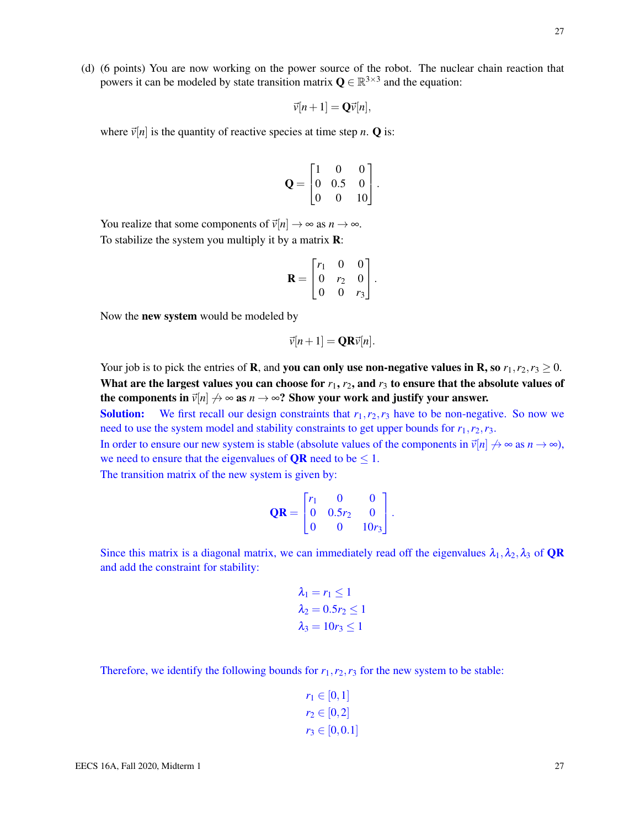(d) (6 points) You are now working on the power source of the robot. The nuclear chain reaction that powers it can be modeled by state transition matrix  $\mathbf{Q} \in \mathbb{R}^{3 \times 3}$  and the equation:

$$
\vec{v}[n+1] = \mathbf{Q}\vec{v}[n],
$$

where  $\vec{v}[n]$  is the quantity of reactive species at time step *n*. **Q** is:

$$
\mathbf{Q} = \begin{bmatrix} 1 & 0 & 0 \\ 0 & 0.5 & 0 \\ 0 & 0 & 10 \end{bmatrix}.
$$

You realize that some components of  $\vec{v}[n] \rightarrow \infty$  as  $n \rightarrow \infty$ . To stabilize the system you multiply it by a matrix **:** 

$$
\mathbf{R} = \begin{bmatrix} r_1 & 0 & 0 \\ 0 & r_2 & 0 \\ 0 & 0 & r_3 \end{bmatrix}.
$$

Now the new system would be modeled by

$$
\vec{v}[n+1] = \mathbf{QR}\vec{v}[n].
$$

Your job is to pick the entries of **R**, and **you can only use non-negative values in R, so**  $r_1, r_2, r_3 \ge 0$ . What are the largest values you can choose for  $r_1$ ,  $r_2$ , and  $r_3$  to ensure that the absolute values of the components in  $\vec{v}[n] \nrightarrow \infty$  as  $n \rightarrow \infty$ ? Show your work and justify your answer.

**Solution:** We first recall our design constraints that  $r_1, r_2, r_3$  have to be non-negative. So now we need to use the system model and stability constraints to get upper bounds for  $r_1$ ,  $r_2$ ,  $r_3$ .

In order to ensure our new system is stable (absolute values of the components in  $\vec{v}[n] \nrightarrow \infty$  as  $n \rightarrow \infty$ ), we need to ensure that the eigenvalues of **QR** need to be  $\leq 1$ .

The transition matrix of the new system is given by:

$$
\mathbf{QR} = \begin{bmatrix} r_1 & 0 & 0 \\ 0 & 0.5r_2 & 0 \\ 0 & 0 & 10r_3 \end{bmatrix}.
$$

Since this matrix is a diagonal matrix, we can immediately read off the eigenvalues  $\lambda_1, \lambda_2, \lambda_3$  of **QR** and add the constraint for stability:

$$
\lambda_1 = r_1 \le 1
$$
  
\n
$$
\lambda_2 = 0.5r_2 \le 1
$$
  
\n
$$
\lambda_3 = 10r_3 \le 1
$$

Therefore, we identify the following bounds for  $r_1, r_2, r_3$  for the new system to be stable:

$$
r_1 \in [0, 1]
$$
  

$$
r_2 \in [0, 2]
$$
  

$$
r_3 \in [0, 0.1]
$$